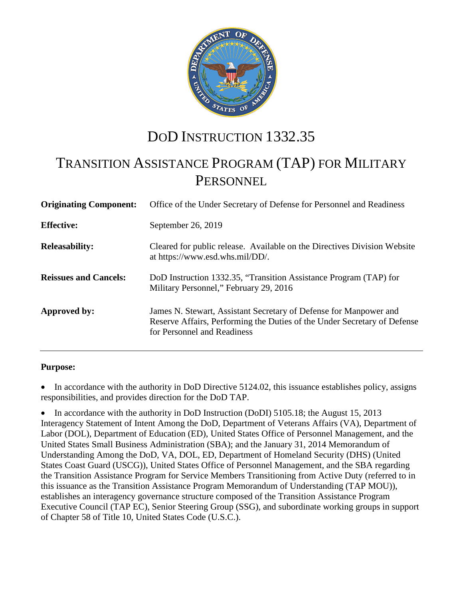

# DOD INSTRUCTION 1332.35

# TRANSITION ASSISTANCE PROGRAM (TAP) FOR MILITARY **PERSONNEL**

| <b>Originating Component:</b> | Office of the Under Secretary of Defense for Personnel and Readiness                                                                                                         |
|-------------------------------|------------------------------------------------------------------------------------------------------------------------------------------------------------------------------|
| <b>Effective:</b>             | September 26, 2019                                                                                                                                                           |
| <b>Releasability:</b>         | Cleared for public release. Available on the Directives Division Website<br>at https://www.esd.whs.mil/DD/.                                                                  |
| <b>Reissues and Cancels:</b>  | DoD Instruction 1332.35, "Transition Assistance Program (TAP) for<br>Military Personnel," February 29, 2016                                                                  |
| Approved by:                  | James N. Stewart, Assistant Secretary of Defense for Manpower and<br>Reserve Affairs, Performing the Duties of the Under Secretary of Defense<br>for Personnel and Readiness |

### **Purpose:**

In accordance with the authority in DoD Directive 5124.02, this issuance establishes policy, assigns responsibilities, and provides direction for the DoD TAP.

• In accordance with the authority in DoD Instruction (DoDI) 5105.18; the August 15, 2013 Interagency Statement of Intent Among the DoD, Department of Veterans Affairs (VA), Department of Labor (DOL), Department of Education (ED), United States Office of Personnel Management, and the United States Small Business Administration (SBA); and the January 31, 2014 Memorandum of Understanding Among the DoD, VA, DOL, ED, Department of Homeland Security (DHS) (United States Coast Guard (USCG)), United States Office of Personnel Management, and the SBA regarding the Transition Assistance Program for Service Members Transitioning from Active Duty (referred to in this issuance as the Transition Assistance Program Memorandum of Understanding (TAP MOU)), establishes an interagency governance structure composed of the Transition Assistance Program Executive Council (TAP EC), Senior Steering Group (SSG), and subordinate working groups in support of Chapter 58 of Title 10, United States Code (U.S.C.).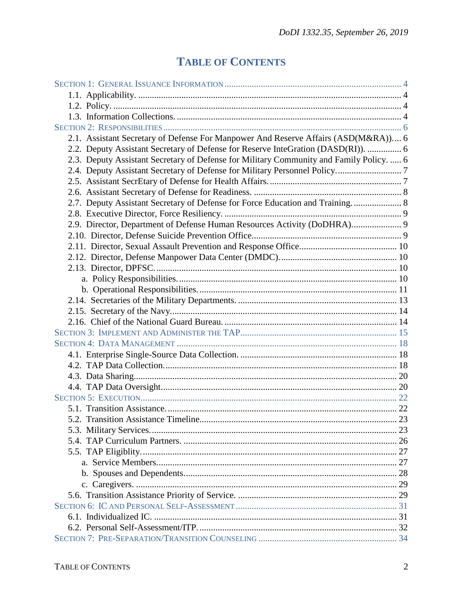# **TABLE OF CONTENTS**

| 2.1. Assistant Secretary of Defense For Manpower And Reserve Affairs (ASD(M&RA)) 6      |  |
|-----------------------------------------------------------------------------------------|--|
| 2.2. Deputy Assistant Secretary of Defense for Reserve InteGration (DASD(RI)).  6       |  |
| 2.3. Deputy Assistant Secretary of Defense for Military Community and Family Policy.  6 |  |
|                                                                                         |  |
|                                                                                         |  |
|                                                                                         |  |
| 2.7. Deputy Assistant Secretary of Defense for Force Education and Training.  8         |  |
|                                                                                         |  |
| 2.9. Director, Department of Defense Human Resources Activity (DoDHRA) 9                |  |
|                                                                                         |  |
|                                                                                         |  |
|                                                                                         |  |
|                                                                                         |  |
|                                                                                         |  |
|                                                                                         |  |
|                                                                                         |  |
|                                                                                         |  |
|                                                                                         |  |
|                                                                                         |  |
|                                                                                         |  |
|                                                                                         |  |
|                                                                                         |  |
|                                                                                         |  |
|                                                                                         |  |
|                                                                                         |  |
|                                                                                         |  |
|                                                                                         |  |
|                                                                                         |  |
|                                                                                         |  |
|                                                                                         |  |
|                                                                                         |  |
|                                                                                         |  |
|                                                                                         |  |
|                                                                                         |  |
|                                                                                         |  |
|                                                                                         |  |
|                                                                                         |  |
|                                                                                         |  |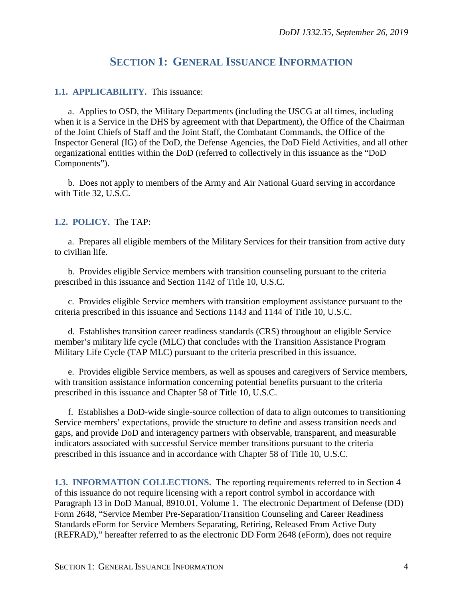# **SECTION 1: GENERAL ISSUANCE INFORMATION**

### <span id="page-3-1"></span><span id="page-3-0"></span>**1.1. APPLICABILITY.** This issuance:

a. Applies to OSD, the Military Departments (including the USCG at all times, including when it is a Service in the DHS by agreement with that Department), the Office of the Chairman of the Joint Chiefs of Staff and the Joint Staff, the Combatant Commands, the Office of the Inspector General (IG) of the DoD, the Defense Agencies, the DoD Field Activities, and all other organizational entities within the DoD (referred to collectively in this issuance as the "DoD Components").

b. Does not apply to members of the Army and Air National Guard serving in accordance with Title 32, U.S.C.

### <span id="page-3-2"></span>**1.2. POLICY.** The TAP:

a. Prepares all eligible members of the Military Services for their transition from active duty to civilian life.

b. Provides eligible Service members with transition counseling pursuant to the criteria prescribed in this issuance and Section 1142 of Title 10, U.S.C.

c. Provides eligible Service members with transition employment assistance pursuant to the criteria prescribed in this issuance and Sections 1143 and 1144 of Title 10, U.S.C.

d. Establishes transition career readiness standards (CRS) throughout an eligible Service member's military life cycle (MLC) that concludes with the Transition Assistance Program Military Life Cycle (TAP MLC) pursuant to the criteria prescribed in this issuance.

e. Provides eligible Service members, as well as spouses and caregivers of Service members, with transition assistance information concerning potential benefits pursuant to the criteria prescribed in this issuance and Chapter 58 of Title 10, U.S.C.

f. Establishes a DoD-wide single-source collection of data to align outcomes to transitioning Service members' expectations, provide the structure to define and assess transition needs and gaps, and provide DoD and interagency partners with observable, transparent, and measurable indicators associated with successful Service member transitions pursuant to the criteria prescribed in this issuance and in accordance with Chapter 58 of Title 10, U.S.C.

<span id="page-3-3"></span>**1.3. INFORMATION COLLECTIONS.** The reporting requirements referred to in Section 4 of this issuance do not require licensing with a report control symbol in accordance with Paragraph 13 in DoD Manual, 8910.01, Volume 1. The electronic Department of Defense (DD) Form 2648, "Service Member Pre-Separation/Transition Counseling and Career Readiness Standards eForm for Service Members Separating, Retiring, Released From Active Duty (REFRAD)," hereafter referred to as the electronic DD Form 2648 (eForm), does not require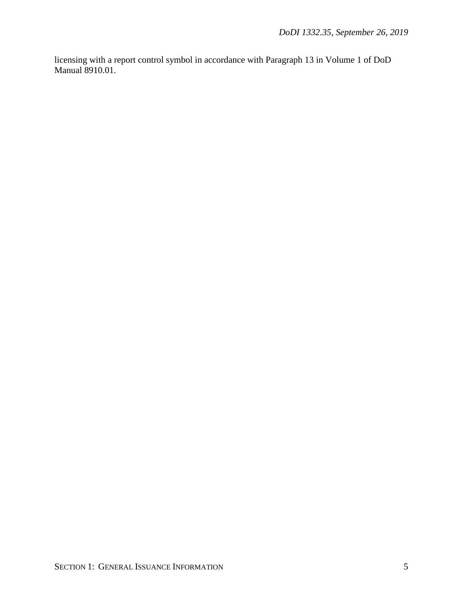licensing with a report control symbol in accordance with Paragraph 13 in Volume 1 of DoD Manual 8910.01.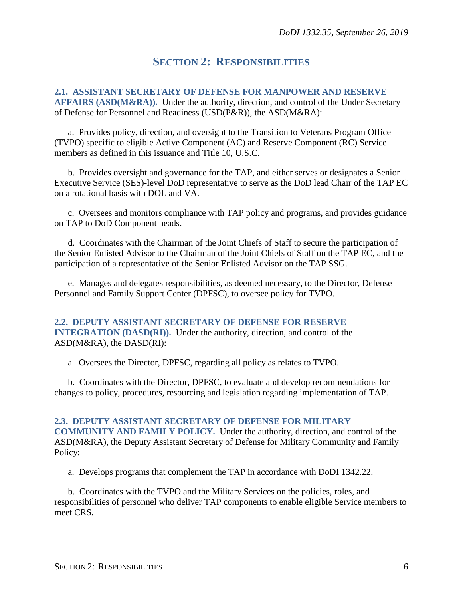# **SECTION 2: RESPONSIBILITIES**

<span id="page-5-1"></span><span id="page-5-0"></span>**2.1. ASSISTANT SECRETARY OF DEFENSE FOR MANPOWER AND RESERVE AFFAIRS (ASD(M&RA)).** Under the authority, direction, and control of the Under Secretary of Defense for Personnel and Readiness (USD(P&R)), the ASD(M&RA):

a. Provides policy, direction, and oversight to the Transition to Veterans Program Office (TVPO) specific to eligible Active Component (AC) and Reserve Component (RC) Service members as defined in this issuance and Title 10, U.S.C.

b. Provides oversight and governance for the TAP, and either serves or designates a Senior Executive Service (SES)-level DoD representative to serve as the DoD lead Chair of the TAP EC on a rotational basis with DOL and VA.

c. Oversees and monitors compliance with TAP policy and programs, and provides guidance on TAP to DoD Component heads.

d. Coordinates with the Chairman of the Joint Chiefs of Staff to secure the participation of the Senior Enlisted Advisor to the Chairman of the Joint Chiefs of Staff on the TAP EC, and the participation of a representative of the Senior Enlisted Advisor on the TAP SSG.

e. Manages and delegates responsibilities, as deemed necessary, to the Director, Defense Personnel and Family Support Center (DPFSC), to oversee policy for TVPO.

### <span id="page-5-2"></span>**2.2. DEPUTY ASSISTANT SECRETARY OF DEFENSE FOR RESERVE INTEGRATION (DASD(RI)).** Under the authority, direction, and control of the ASD(M&RA), the DASD(RI):

a. Oversees the Director, DPFSC, regarding all policy as relates to TVPO.

<span id="page-5-3"></span>b. Coordinates with the Director, DPFSC, to evaluate and develop recommendations for changes to policy, procedures, resourcing and legislation regarding implementation of TAP.

**2.3. DEPUTY ASSISTANT SECRETARY OF DEFENSE FOR MILITARY COMMUNITY AND FAMILY POLICY.** Under the authority, direction, and control of the ASD(M&RA), the Deputy Assistant Secretary of Defense for Military Community and Family Policy:

a. Develops programs that complement the TAP in accordance with DoDI 1342.22.

b. Coordinates with the TVPO and the Military Services on the policies, roles, and responsibilities of personnel who deliver TAP components to enable eligible Service members to meet CRS.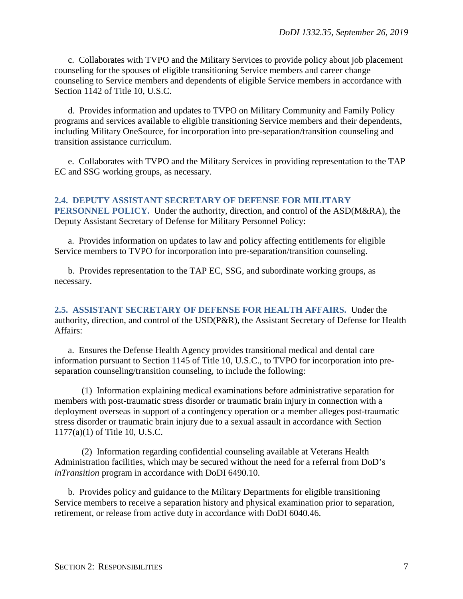c. Collaborates with TVPO and the Military Services to provide policy about job placement counseling for the spouses of eligible transitioning Service members and career change counseling to Service members and dependents of eligible Service members in accordance with Section 1142 of Title 10, U.S.C.

d. Provides information and updates to TVPO on Military Community and Family Policy programs and services available to eligible transitioning Service members and their dependents, including Military OneSource, for incorporation into pre-separation/transition counseling and transition assistance curriculum.

e. Collaborates with TVPO and the Military Services in providing representation to the TAP EC and SSG working groups, as necessary.

<span id="page-6-0"></span>**2.4. DEPUTY ASSISTANT SECRETARY OF DEFENSE FOR MILITARY PERSONNEL POLICY.** Under the authority, direction, and control of the ASD(M&RA), the Deputy Assistant Secretary of Defense for Military Personnel Policy:

a. Provides information on updates to law and policy affecting entitlements for eligible Service members to TVPO for incorporation into pre-separation/transition counseling.

b. Provides representation to the TAP EC, SSG, and subordinate working groups, as necessary.

<span id="page-6-1"></span>**2.5. ASSISTANT SECRETARY OF DEFENSE FOR HEALTH AFFAIRS.** Under the authority, direction, and control of the USD(P&R), the Assistant Secretary of Defense for Health Affairs:

a. Ensures the Defense Health Agency provides transitional medical and dental care information pursuant to Section 1145 of Title 10, U.S.C., to TVPO for incorporation into preseparation counseling/transition counseling, to include the following:

(1) Information explaining medical examinations before administrative separation for members with post-traumatic stress disorder or traumatic brain injury in connection with a deployment overseas in support of a contingency operation or a member alleges post-traumatic stress disorder or traumatic brain injury due to a sexual assault in accordance with Section 1177(a)(1) of Title 10, U.S.C.

(2) Information regarding confidential counseling available at Veterans Health Administration facilities, which may be secured without the need for a referral from DoD's *inTransition* program in accordance with DoDI 6490.10.

b. Provides policy and guidance to the Military Departments for eligible transitioning Service members to receive a separation history and physical examination prior to separation, retirement, or release from active duty in accordance with DoDI 6040.46.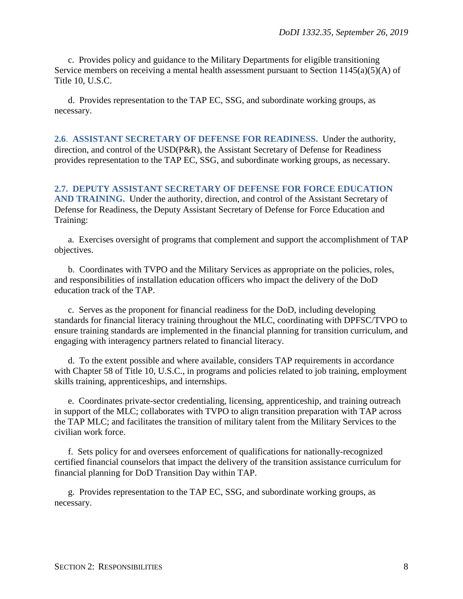c. Provides policy and guidance to the Military Departments for eligible transitioning Service members on receiving a mental health assessment pursuant to Section 1145(a)(5)(A) of Title 10, U.S.C.

d. Provides representation to the TAP EC, SSG, and subordinate working groups, as necessary.

<span id="page-7-0"></span>**2.6**. **ASSISTANT SECRETARY OF DEFENSE FOR READINESS.** Under the authority, direction, and control of the USD(P&R), the Assistant Secretary of Defense for Readiness provides representation to the TAP EC, SSG, and subordinate working groups, as necessary.

<span id="page-7-1"></span>**2.7. DEPUTY ASSISTANT SECRETARY OF DEFENSE FOR FORCE EDUCATION AND TRAINING.** Under the authority, direction, and control of the Assistant Secretary of Defense for Readiness, the Deputy Assistant Secretary of Defense for Force Education and Training:

a. Exercises oversight of programs that complement and support the accomplishment of TAP objectives.

b. Coordinates with TVPO and the Military Services as appropriate on the policies, roles, and responsibilities of installation education officers who impact the delivery of the DoD education track of the TAP.

c. Serves as the proponent for financial readiness for the DoD, including developing standards for financial literacy training throughout the MLC, coordinating with DPFSC/TVPO to ensure training standards are implemented in the financial planning for transition curriculum, and engaging with interagency partners related to financial literacy.

d. To the extent possible and where available, considers TAP requirements in accordance with Chapter 58 of Title 10, U.S.C., in programs and policies related to job training, employment skills training, apprenticeships, and internships.

e. Coordinates private-sector credentialing, licensing, apprenticeship, and training outreach in support of the MLC; collaborates with TVPO to align transition preparation with TAP across the TAP MLC; and facilitates the transition of military talent from the Military Services to the civilian work force.

f. Sets policy for and oversees enforcement of qualifications for nationally-recognized certified financial counselors that impact the delivery of the transition assistance curriculum for financial planning for DoD Transition Day within TAP.

g. Provides representation to the TAP EC, SSG, and subordinate working groups, as necessary.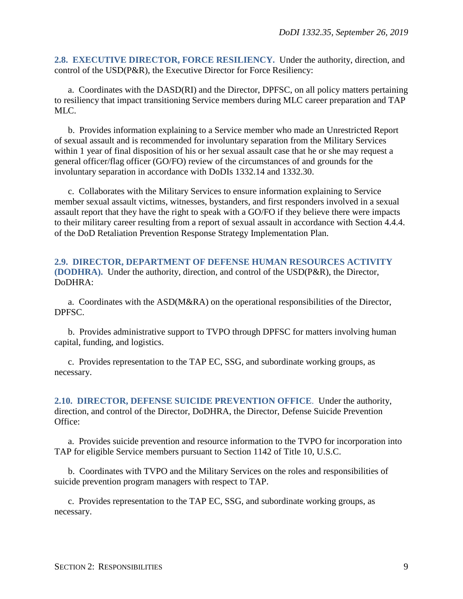<span id="page-8-0"></span>**2.8. EXECUTIVE DIRECTOR, FORCE RESILIENCY.** Under the authority, direction, and control of the USD(P&R), the Executive Director for Force Resiliency:

a. Coordinates with the DASD(RI) and the Director, DPFSC, on all policy matters pertaining to resiliency that impact transitioning Service members during MLC career preparation and TAP MLC.

b. Provides information explaining to a Service member who made an Unrestricted Report of sexual assault and is recommended for involuntary separation from the Military Services within 1 year of final disposition of his or her sexual assault case that he or she may request a general officer/flag officer (GO/FO) review of the circumstances of and grounds for the involuntary separation in accordance with DoDIs 1332.14 and 1332.30.

c. Collaborates with the Military Services to ensure information explaining to Service member sexual assault victims, witnesses, bystanders, and first responders involved in a sexual assault report that they have the right to speak with a GO/FO if they believe there were impacts to their military career resulting from a report of sexual assault in accordance with Section 4.4.4. of the DoD Retaliation Prevention Response Strategy Implementation Plan.

### <span id="page-8-1"></span>**2.9. DIRECTOR, DEPARTMENT OF DEFENSE HUMAN RESOURCES ACTIVITY (DODHRA).** Under the authority, direction, and control of the USD(P&R), the Director, DoDHRA:

a. Coordinates with the ASD(M&RA) on the operational responsibilities of the Director, DPFSC.

b. Provides administrative support to TVPO through DPFSC for matters involving human capital, funding, and logistics.

c. Provides representation to the TAP EC, SSG, and subordinate working groups, as necessary.

<span id="page-8-2"></span>**2.10. DIRECTOR, DEFENSE SUICIDE PREVENTION OFFICE**. Under the authority, direction, and control of the Director, DoDHRA, the Director, Defense Suicide Prevention Office:

a. Provides suicide prevention and resource information to the TVPO for incorporation into TAP for eligible Service members pursuant to Section 1142 of Title 10, U.S.C.

b. Coordinates with TVPO and the Military Services on the roles and responsibilities of suicide prevention program managers with respect to TAP.

c. Provides representation to the TAP EC, SSG, and subordinate working groups, as necessary.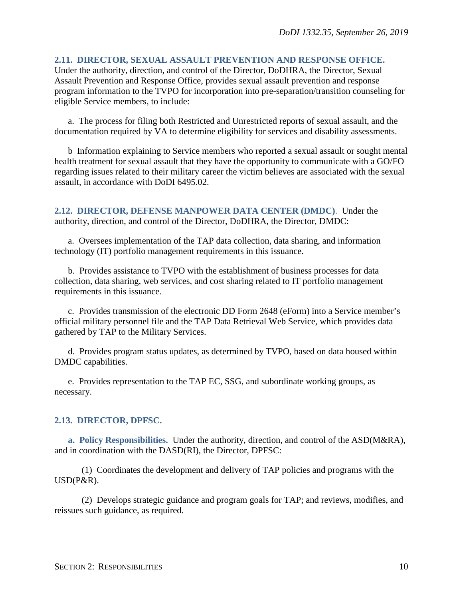#### <span id="page-9-0"></span>**2.11. DIRECTOR, SEXUAL ASSAULT PREVENTION AND RESPONSE OFFICE.**

Under the authority, direction, and control of the Director, DoDHRA, the Director, Sexual Assault Prevention and Response Office, provides sexual assault prevention and response program information to the TVPO for incorporation into pre-separation/transition counseling for eligible Service members, to include:

a. The process for filing both Restricted and Unrestricted reports of sexual assault, and the documentation required by VA to determine eligibility for services and disability assessments.

b Information explaining to Service members who reported a sexual assault or sought mental health treatment for sexual assault that they have the opportunity to communicate with a GO/FO regarding issues related to their military career the victim believes are associated with the sexual assault, in accordance with DoDI 6495.02.

<span id="page-9-1"></span>**2.12. DIRECTOR, DEFENSE MANPOWER DATA CENTER (DMDC)**. Under the authority, direction, and control of the Director, DoDHRA, the Director, DMDC:

a. Oversees implementation of the TAP data collection, data sharing, and information technology (IT) portfolio management requirements in this issuance.

b. Provides assistance to TVPO with the establishment of business processes for data collection, data sharing, web services, and cost sharing related to IT portfolio management requirements in this issuance.

c. Provides transmission of the electronic DD Form 2648 (eForm) into a Service member's official military personnel file and the TAP Data Retrieval Web Service, which provides data gathered by TAP to the Military Services.

d. Provides program status updates, as determined by TVPO, based on data housed within DMDC capabilities.

e. Provides representation to the TAP EC, SSG, and subordinate working groups, as necessary.

#### <span id="page-9-2"></span>**2.13. DIRECTOR, DPFSC.**

<span id="page-9-3"></span>**a. Policy Responsibilities.** Under the authority, direction, and control of the ASD(M&RA), and in coordination with the DASD(RI), the Director, DPFSC:

(1) Coordinates the development and delivery of TAP policies and programs with the USD(P&R).

(2) Develops strategic guidance and program goals for TAP; and reviews, modifies, and reissues such guidance, as required.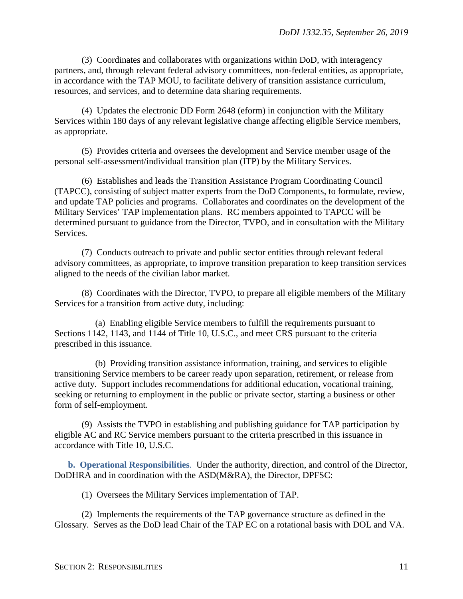(3) Coordinates and collaborates with organizations within DoD, with interagency partners, and, through relevant federal advisory committees, non-federal entities, as appropriate, in accordance with the TAP MOU, to facilitate delivery of transition assistance curriculum, resources, and services, and to determine data sharing requirements.

(4) Updates the electronic DD Form 2648 (eform) in conjunction with the Military Services within 180 days of any relevant legislative change affecting eligible Service members, as appropriate.

(5) Provides criteria and oversees the development and Service member usage of the personal self-assessment/individual transition plan (ITP) by the Military Services.

(6) Establishes and leads the Transition Assistance Program Coordinating Council (TAPCC), consisting of subject matter experts from the DoD Components, to formulate, review, and update TAP policies and programs. Collaborates and coordinates on the development of the Military Services' TAP implementation plans. RC members appointed to TAPCC will be determined pursuant to guidance from the Director, TVPO, and in consultation with the Military Services.

(7) Conducts outreach to private and public sector entities through relevant federal advisory committees, as appropriate, to improve transition preparation to keep transition services aligned to the needs of the civilian labor market.

(8) Coordinates with the Director, TVPO, to prepare all eligible members of the Military Services for a transition from active duty, including:

(a) Enabling eligible Service members to fulfill the requirements pursuant to Sections 1142, 1143, and 1144 of Title 10, U.S.C., and meet CRS pursuant to the criteria prescribed in this issuance.

(b) Providing transition assistance information, training, and services to eligible transitioning Service members to be career ready upon separation, retirement, or release from active duty. Support includes recommendations for additional education, vocational training, seeking or returning to employment in the public or private sector, starting a business or other form of self-employment.

(9) Assists the TVPO in establishing and publishing guidance for TAP participation by eligible AC and RC Service members pursuant to the criteria prescribed in this issuance in accordance with Title 10, U.S.C.

<span id="page-10-0"></span>**b. Operational Responsibilities**. Under the authority, direction, and control of the Director, DoDHRA and in coordination with the ASD(M&RA), the Director, DPFSC:

(1) Oversees the Military Services implementation of TAP.

(2) Implements the requirements of the TAP governance structure as defined in the Glossary. Serves as the DoD lead Chair of the TAP EC on a rotational basis with DOL and VA.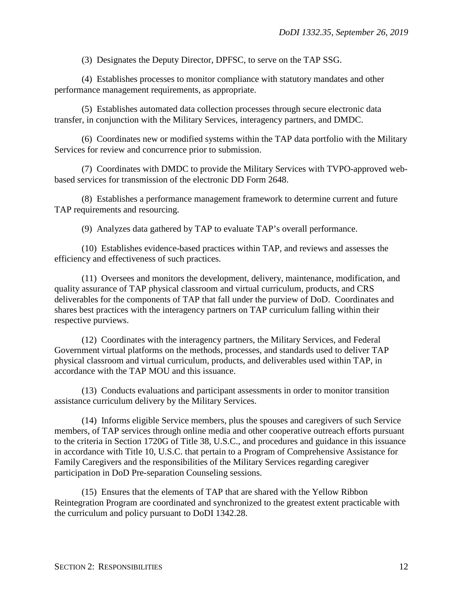(3) Designates the Deputy Director, DPFSC, to serve on the TAP SSG.

(4) Establishes processes to monitor compliance with statutory mandates and other performance management requirements, as appropriate.

(5) Establishes automated data collection processes through secure electronic data transfer, in conjunction with the Military Services, interagency partners, and DMDC.

(6) Coordinates new or modified systems within the TAP data portfolio with the Military Services for review and concurrence prior to submission.

(7) Coordinates with DMDC to provide the Military Services with TVPO-approved webbased services for transmission of the electronic DD Form 2648.

(8) Establishes a performance management framework to determine current and future TAP requirements and resourcing.

(9) Analyzes data gathered by TAP to evaluate TAP's overall performance.

(10) Establishes evidence-based practices within TAP, and reviews and assesses the efficiency and effectiveness of such practices.

(11) Oversees and monitors the development, delivery, maintenance, modification, and quality assurance of TAP physical classroom and virtual curriculum, products, and CRS deliverables for the components of TAP that fall under the purview of DoD. Coordinates and shares best practices with the interagency partners on TAP curriculum falling within their respective purviews.

(12) Coordinates with the interagency partners, the Military Services, and Federal Government virtual platforms on the methods, processes, and standards used to deliver TAP physical classroom and virtual curriculum, products, and deliverables used within TAP, in accordance with the TAP MOU and this issuance.

(13) Conducts evaluations and participant assessments in order to monitor transition assistance curriculum delivery by the Military Services.

(14) Informs eligible Service members, plus the spouses and caregivers of such Service members, of TAP services through online media and other cooperative outreach efforts pursuant to the criteria in Section 1720G of Title 38, U.S.C., and procedures and guidance in this issuance in accordance with Title 10, U.S.C. that pertain to a Program of Comprehensive Assistance for Family Caregivers and the responsibilities of the Military Services regarding caregiver participation in DoD Pre-separation Counseling sessions.

(15) Ensures that the elements of TAP that are shared with the Yellow Ribbon Reintegration Program are coordinated and synchronized to the greatest extent practicable with the curriculum and policy pursuant to DoDI 1342.28.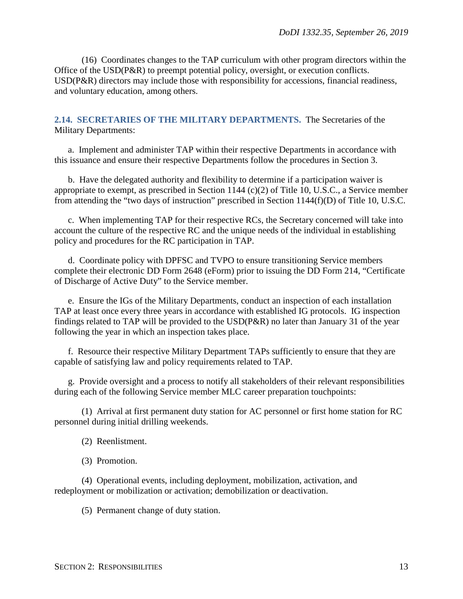(16) Coordinates changes to the TAP curriculum with other program directors within the Office of the USD(P&R) to preempt potential policy, oversight, or execution conflicts. USD(P&R) directors may include those with responsibility for accessions, financial readiness, and voluntary education, among others.

#### <span id="page-12-0"></span>**2.14. SECRETARIES OF THE MILITARY DEPARTMENTS.** The Secretaries of the Military Departments:

a. Implement and administer TAP within their respective Departments in accordance with this issuance and ensure their respective Departments follow the procedures in Section 3.

b. Have the delegated authority and flexibility to determine if a participation waiver is appropriate to exempt, as prescribed in Section 1144 (c)(2) of Title 10, U.S.C., a Service member from attending the "two days of instruction" prescribed in Section 1144(f)(D) of Title 10, U.S.C.

c. When implementing TAP for their respective RCs, the Secretary concerned will take into account the culture of the respective RC and the unique needs of the individual in establishing policy and procedures for the RC participation in TAP.

d. Coordinate policy with DPFSC and TVPO to ensure transitioning Service members complete their electronic DD Form 2648 (eForm) prior to issuing the DD Form 214, "Certificate of Discharge of Active Duty" to the Service member.

e. Ensure the IGs of the Military Departments, conduct an inspection of each installation TAP at least once every three years in accordance with established IG protocols. IG inspection findings related to TAP will be provided to the USD(P&R) no later than January 31 of the year following the year in which an inspection takes place.

f. Resource their respective Military Department TAPs sufficiently to ensure that they are capable of satisfying law and policy requirements related to TAP.

g. Provide oversight and a process to notify all stakeholders of their relevant responsibilities during each of the following Service member MLC career preparation touchpoints:

(1) Arrival at first permanent duty station for AC personnel or first home station for RC personnel during initial drilling weekends.

- (2) Reenlistment.
- (3) Promotion.

(4) Operational events, including deployment, mobilization, activation, and redeployment or mobilization or activation; demobilization or deactivation.

(5) Permanent change of duty station.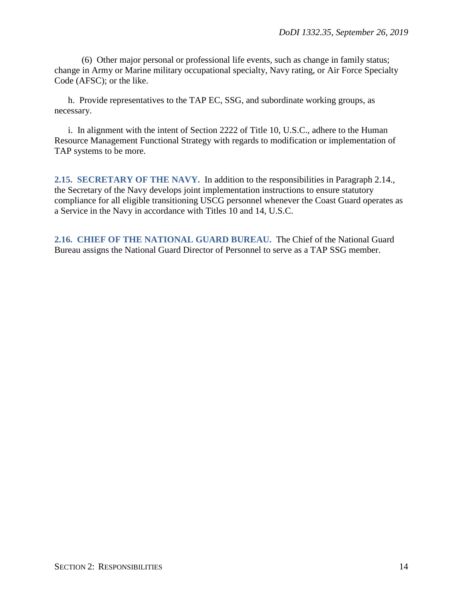(6) Other major personal or professional life events, such as change in family status; change in Army or Marine military occupational specialty, Navy rating, or Air Force Specialty Code (AFSC); or the like.

h. Provide representatives to the TAP EC, SSG, and subordinate working groups, as necessary.

i. In alignment with the intent of Section 2222 of Title 10, U.S.C., adhere to the Human Resource Management Functional Strategy with regards to modification or implementation of TAP systems to be more.

<span id="page-13-0"></span>**2.15. SECRETARY OF THE NAVY.** In addition to the responsibilities in Paragraph 2.14., the Secretary of the Navy develops joint implementation instructions to ensure statutory compliance for all eligible transitioning USCG personnel whenever the Coast Guard operates as a Service in the Navy in accordance with Titles 10 and 14, U.S.C.

<span id="page-13-1"></span>**2.16. CHIEF OF THE NATIONAL GUARD BUREAU.** The Chief of the National Guard Bureau assigns the National Guard Director of Personnel to serve as a TAP SSG member.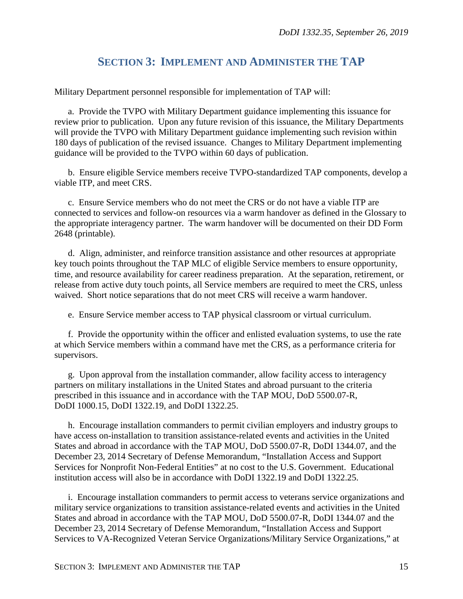# **SECTION 3: IMPLEMENT AND ADMINISTER THE TAP**

<span id="page-14-0"></span>Military Department personnel responsible for implementation of TAP will:

a. Provide the TVPO with Military Department guidance implementing this issuance for review prior to publication. Upon any future revision of this issuance, the Military Departments will provide the TVPO with Military Department guidance implementing such revision within 180 days of publication of the revised issuance. Changes to Military Department implementing guidance will be provided to the TVPO within 60 days of publication.

b. Ensure eligible Service members receive TVPO-standardized TAP components, develop a viable ITP, and meet CRS.

c. Ensure Service members who do not meet the CRS or do not have a viable ITP are connected to services and follow-on resources via a warm handover as defined in the Glossary to the appropriate interagency partner. The warm handover will be documented on their DD Form 2648 (printable).

d. Align, administer, and reinforce transition assistance and other resources at appropriate key touch points throughout the TAP MLC of eligible Service members to ensure opportunity, time, and resource availability for career readiness preparation. At the separation, retirement, or release from active duty touch points, all Service members are required to meet the CRS, unless waived. Short notice separations that do not meet CRS will receive a warm handover.

e. Ensure Service member access to TAP physical classroom or virtual curriculum.

f. Provide the opportunity within the officer and enlisted evaluation systems, to use the rate at which Service members within a command have met the CRS, as a performance criteria for supervisors.

g. Upon approval from the installation commander, allow facility access to interagency partners on military installations in the United States and abroad pursuant to the criteria prescribed in this issuance and in accordance with the TAP MOU, DoD 5500.07-R, DoDI 1000.15, DoDI 1322.19, and DoDI 1322.25.

h. Encourage installation commanders to permit civilian employers and industry groups to have access on-installation to transition assistance-related events and activities in the United States and abroad in accordance with the TAP MOU, DoD 5500.07-R, DoDI 1344.07, and the December 23, 2014 Secretary of Defense Memorandum, "Installation Access and Support Services for Nonprofit Non-Federal Entities" at no cost to the U.S. Government. Educational institution access will also be in accordance with DoDI 1322.19 and DoDI 1322.25.

i. Encourage installation commanders to permit access to veterans service organizations and military service organizations to transition assistance-related events and activities in the United States and abroad in accordance with the TAP MOU, DoD 5500.07-R, DoDI 1344.07 and the December 23, 2014 Secretary of Defense Memorandum, "Installation Access and Support Services to VA-Recognized Veteran Service Organizations/Military Service Organizations," at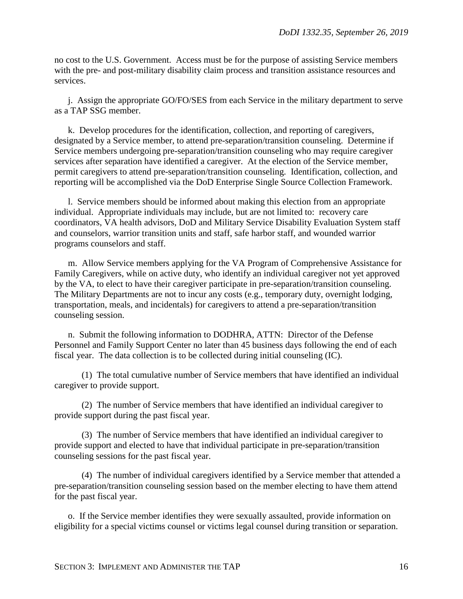no cost to the U.S. Government. Access must be for the purpose of assisting Service members with the pre- and post-military disability claim process and transition assistance resources and services.

j. Assign the appropriate GO/FO/SES from each Service in the military department to serve as a TAP SSG member.

k. Develop procedures for the identification, collection, and reporting of caregivers, designated by a Service member, to attend pre-separation/transition counseling. Determine if Service members undergoing pre-separation/transition counseling who may require caregiver services after separation have identified a caregiver. At the election of the Service member, permit caregivers to attend pre-separation/transition counseling. Identification, collection, and reporting will be accomplished via the DoD Enterprise Single Source Collection Framework.

l. Service members should be informed about making this election from an appropriate individual. Appropriate individuals may include, but are not limited to: recovery care coordinators, VA health advisors, DoD and Military Service Disability Evaluation System staff and counselors, warrior transition units and staff, safe harbor staff, and wounded warrior programs counselors and staff.

m. Allow Service members applying for the VA Program of Comprehensive Assistance for Family Caregivers, while on active duty, who identify an individual caregiver not yet approved by the VA, to elect to have their caregiver participate in pre-separation/transition counseling. The Military Departments are not to incur any costs (e.g., temporary duty, overnight lodging, transportation, meals, and incidentals) for caregivers to attend a pre-separation/transition counseling session.

n. Submit the following information to DODHRA, ATTN: Director of the Defense Personnel and Family Support Center no later than 45 business days following the end of each fiscal year. The data collection is to be collected during initial counseling (IC).

(1) The total cumulative number of Service members that have identified an individual caregiver to provide support.

(2) The number of Service members that have identified an individual caregiver to provide support during the past fiscal year.

(3) The number of Service members that have identified an individual caregiver to provide support and elected to have that individual participate in pre-separation/transition counseling sessions for the past fiscal year.

(4) The number of individual caregivers identified by a Service member that attended a pre-separation/transition counseling session based on the member electing to have them attend for the past fiscal year.

o. If the Service member identifies they were sexually assaulted, provide information on eligibility for a special victims counsel or victims legal counsel during transition or separation.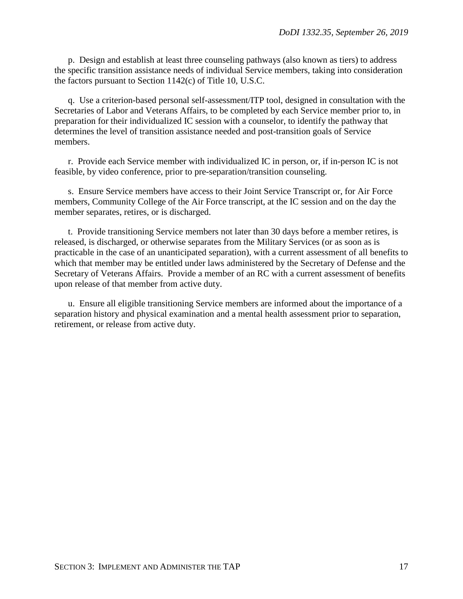p. Design and establish at least three counseling pathways (also known as tiers) to address the specific transition assistance needs of individual Service members, taking into consideration the factors pursuant to Section 1142(c) of Title 10, U.S.C.

q. Use a criterion-based personal self-assessment/ITP tool, designed in consultation with the Secretaries of Labor and Veterans Affairs, to be completed by each Service member prior to, in preparation for their individualized IC session with a counselor, to identify the pathway that determines the level of transition assistance needed and post-transition goals of Service members.

r. Provide each Service member with individualized IC in person, or, if in-person IC is not feasible, by video conference, prior to pre-separation/transition counseling.

s. Ensure Service members have access to their Joint Service Transcript or, for Air Force members, Community College of the Air Force transcript, at the IC session and on the day the member separates, retires, or is discharged.

t. Provide transitioning Service members not later than 30 days before a member retires, is released, is discharged, or otherwise separates from the Military Services (or as soon as is practicable in the case of an unanticipated separation), with a current assessment of all benefits to which that member may be entitled under laws administered by the Secretary of Defense and the Secretary of Veterans Affairs. Provide a member of an RC with a current assessment of benefits upon release of that member from active duty.

u. Ensure all eligible transitioning Service members are informed about the importance of a separation history and physical examination and a mental health assessment prior to separation, retirement, or release from active duty.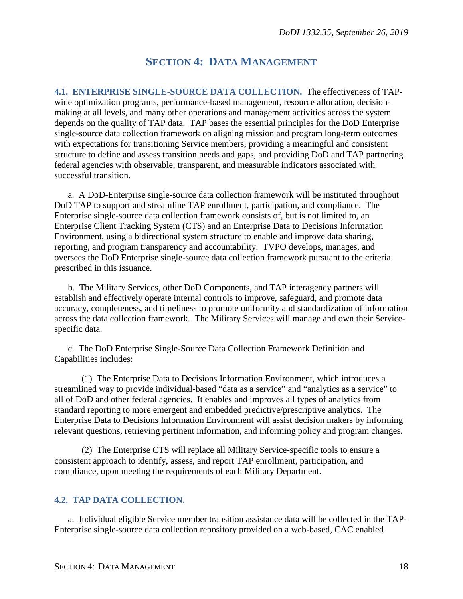# **SECTION 4: DATA MANAGEMENT**

<span id="page-17-1"></span><span id="page-17-0"></span>**4.1. ENTERPRISE SINGLE-SOURCE DATA COLLECTION.** The effectiveness of TAPwide optimization programs, performance-based management, resource allocation, decisionmaking at all levels, and many other operations and management activities across the system depends on the quality of TAP data. TAP bases the essential principles for the DoD Enterprise single-source data collection framework on aligning mission and program long-term outcomes with expectations for transitioning Service members, providing a meaningful and consistent structure to define and assess transition needs and gaps, and providing DoD and TAP partnering federal agencies with observable, transparent, and measurable indicators associated with successful transition.

a. A DoD-Enterprise single-source data collection framework will be instituted throughout DoD TAP to support and streamline TAP enrollment, participation, and compliance. The Enterprise single-source data collection framework consists of, but is not limited to, an Enterprise Client Tracking System (CTS) and an Enterprise Data to Decisions Information Environment, using a bidirectional system structure to enable and improve data sharing, reporting, and program transparency and accountability. TVPO develops, manages, and oversees the DoD Enterprise single-source data collection framework pursuant to the criteria prescribed in this issuance.

b. The Military Services, other DoD Components, and TAP interagency partners will establish and effectively operate internal controls to improve, safeguard, and promote data accuracy, completeness, and timeliness to promote uniformity and standardization of information across the data collection framework. The Military Services will manage and own their Servicespecific data.

c. The DoD Enterprise Single-Source Data Collection Framework Definition and Capabilities includes:

(1) The Enterprise Data to Decisions Information Environment, which introduces a streamlined way to provide individual-based "data as a service" and "analytics as a service" to all of DoD and other federal agencies. It enables and improves all types of analytics from standard reporting to more emergent and embedded predictive/prescriptive analytics. The Enterprise Data to Decisions Information Environment will assist decision makers by informing relevant questions, retrieving pertinent information, and informing policy and program changes.

(2) The Enterprise CTS will replace all Military Service-specific tools to ensure a consistent approach to identify, assess, and report TAP enrollment, participation, and compliance, upon meeting the requirements of each Military Department.

### <span id="page-17-2"></span>**4.2. TAP DATA COLLECTION.**

a. Individual eligible Service member transition assistance data will be collected in the TAP-Enterprise single-source data collection repository provided on a web-based, CAC enabled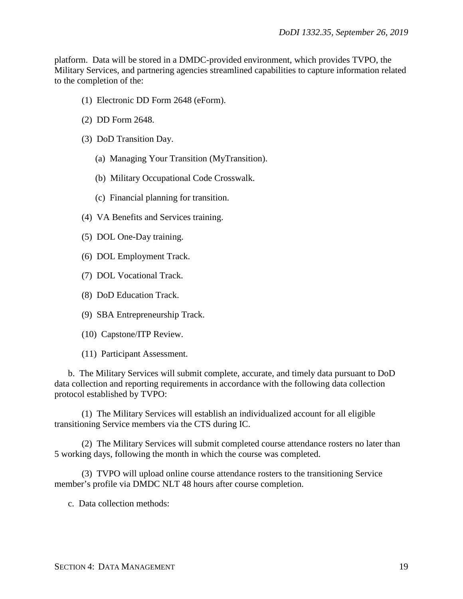platform. Data will be stored in a DMDC-provided environment, which provides TVPO, the Military Services, and partnering agencies streamlined capabilities to capture information related to the completion of the:

- (1) Electronic DD Form 2648 (eForm).
- (2) DD Form 2648.
- (3) DoD Transition Day.
	- (a) Managing Your Transition (MyTransition).
	- (b) Military Occupational Code Crosswalk.
	- (c) Financial planning for transition.
- (4) VA Benefits and Services training.
- (5) DOL One-Day training.
- (6) DOL Employment Track.
- (7) DOL Vocational Track.
- (8) DoD Education Track.
- (9) SBA Entrepreneurship Track.
- (10) Capstone/ITP Review.
- (11) Participant Assessment.

b. The Military Services will submit complete, accurate, and timely data pursuant to DoD data collection and reporting requirements in accordance with the following data collection protocol established by TVPO:

(1) The Military Services will establish an individualized account for all eligible transitioning Service members via the CTS during IC.

(2) The Military Services will submit completed course attendance rosters no later than 5 working days, following the month in which the course was completed.

(3) TVPO will upload online course attendance rosters to the transitioning Service member's profile via DMDC NLT 48 hours after course completion.

c. Data collection methods: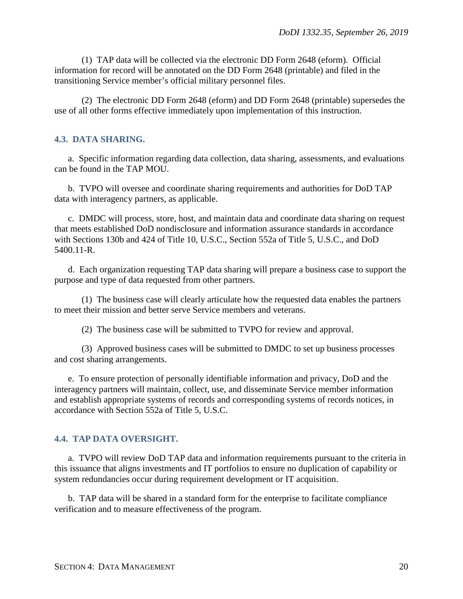(1) TAP data will be collected via the electronic DD Form 2648 (eform). Official information for record will be annotated on the DD Form 2648 (printable) and filed in the transitioning Service member's official military personnel files.

(2) The electronic DD Form 2648 (eform) and DD Form 2648 (printable) supersedes the use of all other forms effective immediately upon implementation of this instruction.

#### <span id="page-19-0"></span>**4.3. DATA SHARING.**

a. Specific information regarding data collection, data sharing, assessments, and evaluations can be found in the TAP MOU.

b. TVPO will oversee and coordinate sharing requirements and authorities for DoD TAP data with interagency partners, as applicable.

c. DMDC will process, store, host, and maintain data and coordinate data sharing on request that meets established DoD nondisclosure and information assurance standards in accordance with Sections 130b and 424 of Title 10, U.S.C., Section 552a of Title 5, U.S.C., and DoD 5400.11-R.

d. Each organization requesting TAP data sharing will prepare a business case to support the purpose and type of data requested from other partners.

(1) The business case will clearly articulate how the requested data enables the partners to meet their mission and better serve Service members and veterans.

(2) The business case will be submitted to TVPO for review and approval.

(3) Approved business cases will be submitted to DMDC to set up business processes and cost sharing arrangements.

e. To ensure protection of personally identifiable information and privacy, DoD and the interagency partners will maintain, collect, use, and disseminate Service member information and establish appropriate systems of records and corresponding systems of records notices, in accordance with Section 552a of Title 5, U.S.C.

#### <span id="page-19-1"></span>**4.4. TAP DATA OVERSIGHT.**

a. TVPO will review DoD TAP data and information requirements pursuant to the criteria in this issuance that aligns investments and IT portfolios to ensure no duplication of capability or system redundancies occur during requirement development or IT acquisition.

b. TAP data will be shared in a standard form for the enterprise to facilitate compliance verification and to measure effectiveness of the program.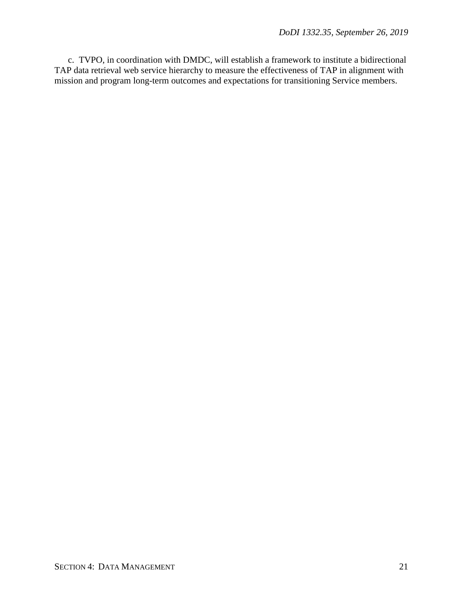c. TVPO, in coordination with DMDC, will establish a framework to institute a bidirectional TAP data retrieval web service hierarchy to measure the effectiveness of TAP in alignment with mission and program long-term outcomes and expectations for transitioning Service members.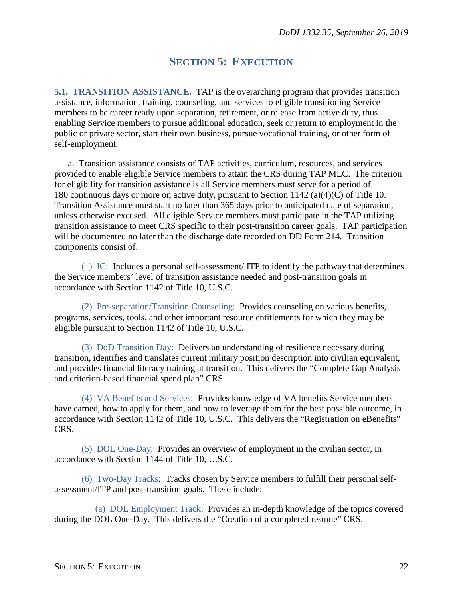# **SECTION 5: EXECUTION**

<span id="page-21-1"></span><span id="page-21-0"></span>**5.1. TRANSITION ASSISTANCE.** TAP is the overarching program that provides transition assistance, information, training, counseling, and services to eligible transitioning Service members to be career ready upon separation, retirement, or release from active duty, thus enabling Service members to pursue additional education, seek or return to employment in the public or private sector, start their own business, pursue vocational training, or other form of self-employment.

a. Transition assistance consists of TAP activities, curriculum, resources, and services provided to enable eligible Service members to attain the CRS during TAP MLC. The criterion for eligibility for transition assistance is all Service members must serve for a period of 180 continuous days or more on active duty, pursuant to Section 1142 (a)(4)(C) of Title 10. Transition Assistance must start no later than 365 days prior to anticipated date of separation, unless otherwise excused. All eligible Service members must participate in the TAP utilizing transition assistance to meet CRS specific to their post-transition career goals. TAP participation will be documented no later than the discharge date recorded on DD Form 214. Transition components consist of:

(1) IC: Includes a personal self-assessment/ ITP to identify the pathway that determines the Service members' level of transition assistance needed and post-transition goals in accordance with Section 1142 of Title 10, U.S.C.

(2) Pre-separation/Transition Counseling: Provides counseling on various benefits, programs, services, tools, and other important resource entitlements for which they may be eligible pursuant to Section 1142 of Title 10, U.S.C.

(3) DoD Transition Day: Delivers an understanding of resilience necessary during transition, identifies and translates current military position description into civilian equivalent, and provides financial literacy training at transition. This delivers the "Complete Gap Analysis and criterion-based financial spend plan" CRS.

(4) VA Benefits and Services: Provides knowledge of VA benefits Service members have earned, how to apply for them, and how to leverage them for the best possible outcome, in accordance with Section 1142 of Title 10, U.S.C. This delivers the "Registration on eBenefits" CRS.

(5) DOL One-Day: Provides an overview of employment in the civilian sector, in accordance with Section 1144 of Title 10, U.S.C.

(6) Two-Day Tracks: Tracks chosen by Service members to fulfill their personal selfassessment/ITP and post-transition goals. These include:

(a) DOL Employment Track: Provides an in-depth knowledge of the topics covered during the DOL One-Day. This delivers the "Creation of a completed resume" CRS.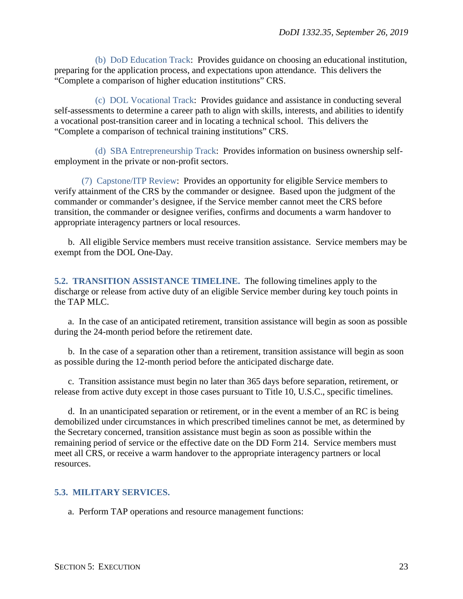(b) DoD Education Track: Provides guidance on choosing an educational institution, preparing for the application process, and expectations upon attendance. This delivers the "Complete a comparison of higher education institutions" CRS.

(c) DOL Vocational Track: Provides guidance and assistance in conducting several self-assessments to determine a career path to align with skills, interests, and abilities to identify a vocational post-transition career and in locating a technical school. This delivers the "Complete a comparison of technical training institutions" CRS.

(d) SBA Entrepreneurship Track: Provides information on business ownership selfemployment in the private or non-profit sectors.

(7) Capstone/ITP Review: Provides an opportunity for eligible Service members to verify attainment of the CRS by the commander or designee. Based upon the judgment of the commander or commander's designee, if the Service member cannot meet the CRS before transition, the commander or designee verifies, confirms and documents a warm handover to appropriate interagency partners or local resources.

b. All eligible Service members must receive transition assistance. Service members may be exempt from the DOL One-Day.

<span id="page-22-0"></span>**5.2. TRANSITION ASSISTANCE TIMELINE.** The following timelines apply to the discharge or release from active duty of an eligible Service member during key touch points in the TAP MLC.

a. In the case of an anticipated retirement, transition assistance will begin as soon as possible during the 24-month period before the retirement date.

b. In the case of a separation other than a retirement, transition assistance will begin as soon as possible during the 12-month period before the anticipated discharge date.

c. Transition assistance must begin no later than 365 days before separation, retirement, or release from active duty except in those cases pursuant to Title 10, U.S.C., specific timelines.

d. In an unanticipated separation or retirement, or in the event a member of an RC is being demobilized under circumstances in which prescribed timelines cannot be met, as determined by the Secretary concerned, transition assistance must begin as soon as possible within the remaining period of service or the effective date on the DD Form 214. Service members must meet all CRS, or receive a warm handover to the appropriate interagency partners or local resources.

### <span id="page-22-1"></span>**5.3. MILITARY SERVICES.**

a. Perform TAP operations and resource management functions: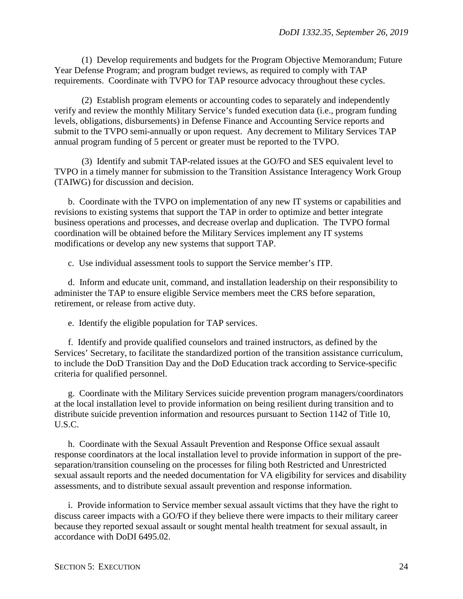(1) Develop requirements and budgets for the Program Objective Memorandum; Future Year Defense Program; and program budget reviews, as required to comply with TAP requirements. Coordinate with TVPO for TAP resource advocacy throughout these cycles.

(2) Establish program elements or accounting codes to separately and independently verify and review the monthly Military Service's funded execution data (i.e., program funding levels, obligations, disbursements) in Defense Finance and Accounting Service reports and submit to the TVPO semi-annually or upon request. Any decrement to Military Services TAP annual program funding of 5 percent or greater must be reported to the TVPO.

(3) Identify and submit TAP-related issues at the GO/FO and SES equivalent level to TVPO in a timely manner for submission to the Transition Assistance Interagency Work Group (TAIWG) for discussion and decision.

b. Coordinate with the TVPO on implementation of any new IT systems or capabilities and revisions to existing systems that support the TAP in order to optimize and better integrate business operations and processes, and decrease overlap and duplication. The TVPO formal coordination will be obtained before the Military Services implement any IT systems modifications or develop any new systems that support TAP.

c. Use individual assessment tools to support the Service member's ITP.

d. Inform and educate unit, command, and installation leadership on their responsibility to administer the TAP to ensure eligible Service members meet the CRS before separation, retirement, or release from active duty.

e. Identify the eligible population for TAP services.

f. Identify and provide qualified counselors and trained instructors, as defined by the Services' Secretary, to facilitate the standardized portion of the transition assistance curriculum, to include the DoD Transition Day and the DoD Education track according to Service-specific criteria for qualified personnel.

g. Coordinate with the Military Services suicide prevention program managers/coordinators at the local installation level to provide information on being resilient during transition and to distribute suicide prevention information and resources pursuant to Section 1142 of Title 10, U.S.C.

h. Coordinate with the Sexual Assault Prevention and Response Office sexual assault response coordinators at the local installation level to provide information in support of the preseparation/transition counseling on the processes for filing both Restricted and Unrestricted sexual assault reports and the needed documentation for VA eligibility for services and disability assessments, and to distribute sexual assault prevention and response information.

i. Provide information to Service member sexual assault victims that they have the right to discuss career impacts with a GO/FO if they believe there were impacts to their military career because they reported sexual assault or sought mental health treatment for sexual assault, in accordance with DoDI 6495.02.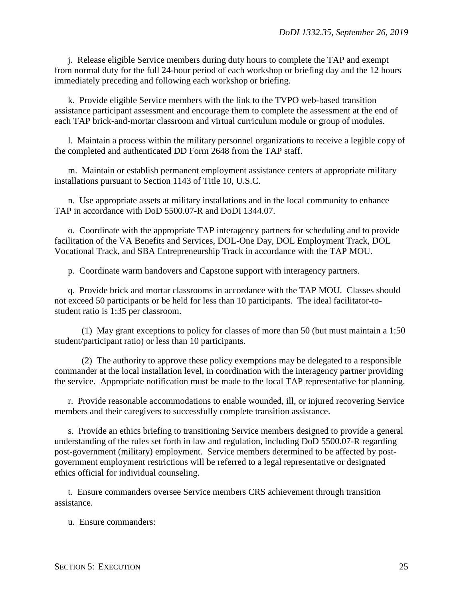j. Release eligible Service members during duty hours to complete the TAP and exempt from normal duty for the full 24-hour period of each workshop or briefing day and the 12 hours immediately preceding and following each workshop or briefing.

k. Provide eligible Service members with the link to the TVPO web-based transition assistance participant assessment and encourage them to complete the assessment at the end of each TAP brick-and-mortar classroom and virtual curriculum module or group of modules.

l. Maintain a process within the military personnel organizations to receive a legible copy of the completed and authenticated DD Form 2648 from the TAP staff.

m. Maintain or establish permanent employment assistance centers at appropriate military installations pursuant to Section 1143 of Title 10, U.S.C.

n. Use appropriate assets at military installations and in the local community to enhance TAP in accordance with DoD 5500.07-R and DoDI 1344.07.

o. Coordinate with the appropriate TAP interagency partners for scheduling and to provide facilitation of the VA Benefits and Services, DOL-One Day, DOL Employment Track, DOL Vocational Track, and SBA Entrepreneurship Track in accordance with the TAP MOU.

p. Coordinate warm handovers and Capstone support with interagency partners.

q. Provide brick and mortar classrooms in accordance with the TAP MOU. Classes should not exceed 50 participants or be held for less than 10 participants. The ideal facilitator-tostudent ratio is 1:35 per classroom.

(1) May grant exceptions to policy for classes of more than 50 (but must maintain a 1:50 student/participant ratio) or less than 10 participants.

(2) The authority to approve these policy exemptions may be delegated to a responsible commander at the local installation level, in coordination with the interagency partner providing the service. Appropriate notification must be made to the local TAP representative for planning.

r. Provide reasonable accommodations to enable wounded, ill, or injured recovering Service members and their caregivers to successfully complete transition assistance.

s. Provide an ethics briefing to transitioning Service members designed to provide a general understanding of the rules set forth in law and regulation, including DoD 5500.07-R regarding post-government (military) employment. Service members determined to be affected by postgovernment employment restrictions will be referred to a legal representative or designated ethics official for individual counseling.

t. Ensure commanders oversee Service members CRS achievement through transition assistance.

u. Ensure commanders: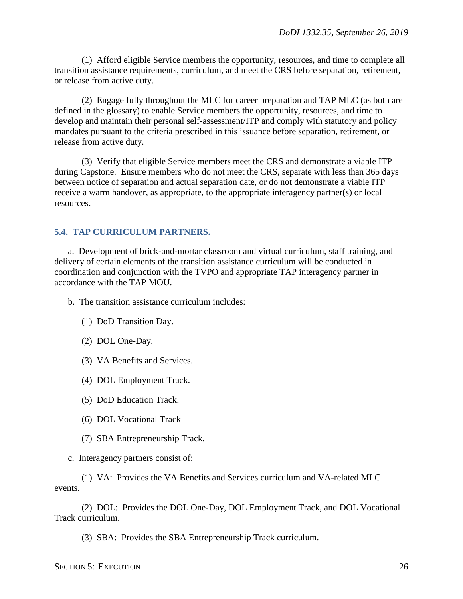(1) Afford eligible Service members the opportunity, resources, and time to complete all transition assistance requirements, curriculum, and meet the CRS before separation, retirement, or release from active duty.

(2) Engage fully throughout the MLC for career preparation and TAP MLC (as both are defined in the glossary) to enable Service members the opportunity, resources, and time to develop and maintain their personal self-assessment/ITP and comply with statutory and policy mandates pursuant to the criteria prescribed in this issuance before separation, retirement, or release from active duty.

(3) Verify that eligible Service members meet the CRS and demonstrate a viable ITP during Capstone. Ensure members who do not meet the CRS, separate with less than 365 days between notice of separation and actual separation date, or do not demonstrate a viable ITP receive a warm handover, as appropriate, to the appropriate interagency partner(s) or local resources.

### <span id="page-25-0"></span>**5.4. TAP CURRICULUM PARTNERS.**

a. Development of brick-and-mortar classroom and virtual curriculum, staff training, and delivery of certain elements of the transition assistance curriculum will be conducted in coordination and conjunction with the TVPO and appropriate TAP interagency partner in accordance with the TAP MOU.

b. The transition assistance curriculum includes:

- (1) DoD Transition Day.
- (2) DOL One-Day.
- (3) VA Benefits and Services.
- (4) DOL Employment Track.
- (5) DoD Education Track.
- (6) DOL Vocational Track
- (7) SBA Entrepreneurship Track.
- c. Interagency partners consist of:

(1) VA: Provides the VA Benefits and Services curriculum and VA-related MLC events.

(2) DOL: Provides the DOL One-Day, DOL Employment Track, and DOL Vocational Track curriculum.

(3) SBA: Provides the SBA Entrepreneurship Track curriculum.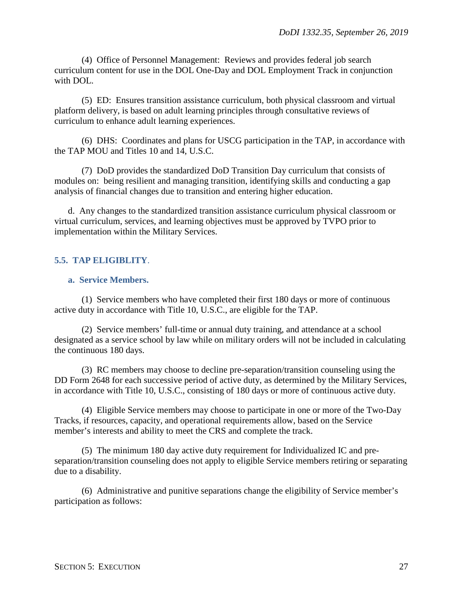(4) Office of Personnel Management: Reviews and provides federal job search curriculum content for use in the DOL One-Day and DOL Employment Track in conjunction with DOL.

(5) ED: Ensures transition assistance curriculum, both physical classroom and virtual platform delivery, is based on adult learning principles through consultative reviews of curriculum to enhance adult learning experiences.

(6) DHS: Coordinates and plans for USCG participation in the TAP, in accordance with the TAP MOU and Titles 10 and 14, U.S.C.

(7) DoD provides the standardized DoD Transition Day curriculum that consists of modules on: being resilient and managing transition, identifying skills and conducting a gap analysis of financial changes due to transition and entering higher education.

d. Any changes to the standardized transition assistance curriculum physical classroom or virtual curriculum, services, and learning objectives must be approved by TVPO prior to implementation within the Military Services.

### <span id="page-26-0"></span>**5.5. TAP ELIGIBLITY**.

### <span id="page-26-1"></span>**a. Service Members.**

(1) Service members who have completed their first 180 days or more of continuous active duty in accordance with Title 10, U.S.C., are eligible for the TAP.

(2) Service members' full-time or annual duty training, and attendance at a school designated as a service school by law while on military orders will not be included in calculating the continuous 180 days.

(3) RC members may choose to decline pre-separation/transition counseling using the DD Form 2648 for each successive period of active duty, as determined by the Military Services, in accordance with Title 10, U.S.C., consisting of 180 days or more of continuous active duty.

(4) Eligible Service members may choose to participate in one or more of the Two-Day Tracks, if resources, capacity, and operational requirements allow, based on the Service member's interests and ability to meet the CRS and complete the track.

(5) The minimum 180 day active duty requirement for Individualized IC and preseparation/transition counseling does not apply to eligible Service members retiring or separating due to a disability.

(6) Administrative and punitive separations change the eligibility of Service member's participation as follows: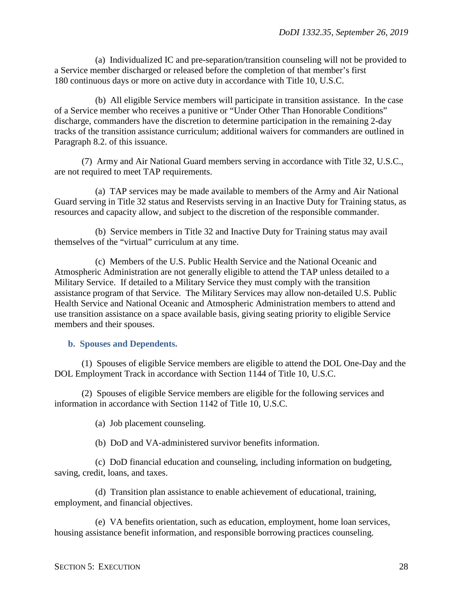(a) Individualized IC and pre-separation/transition counseling will not be provided to a Service member discharged or released before the completion of that member's first 180 continuous days or more on active duty in accordance with Title 10, U.S.C.

(b) All eligible Service members will participate in transition assistance. In the case of a Service member who receives a punitive or "Under Other Than Honorable Conditions" discharge, commanders have the discretion to determine participation in the remaining 2-day tracks of the transition assistance curriculum; additional waivers for commanders are outlined in Paragraph 8.2. of this issuance.

(7) Army and Air National Guard members serving in accordance with Title 32, U.S.C., are not required to meet TAP requirements.

(a) TAP services may be made available to members of the Army and Air National Guard serving in Title 32 status and Reservists serving in an Inactive Duty for Training status, as resources and capacity allow, and subject to the discretion of the responsible commander.

(b) Service members in Title 32 and Inactive Duty for Training status may avail themselves of the "virtual" curriculum at any time.

(c) Members of the U.S. Public Health Service and the National Oceanic and Atmospheric Administration are not generally eligible to attend the TAP unless detailed to a Military Service. If detailed to a Military Service they must comply with the transition assistance program of that Service. The Military Services may allow non-detailed U.S. Public Health Service and National Oceanic and Atmospheric Administration members to attend and use transition assistance on a space available basis, giving seating priority to eligible Service members and their spouses.

#### <span id="page-27-0"></span>**b. Spouses and Dependents.**

(1) Spouses of eligible Service members are eligible to attend the DOL One-Day and the DOL Employment Track in accordance with Section 1144 of Title 10, U.S.C.

(2) Spouses of eligible Service members are eligible for the following services and information in accordance with Section 1142 of Title 10, U.S.C.

(a) Job placement counseling.

(b) DoD and VA-administered survivor benefits information.

(c) DoD financial education and counseling, including information on budgeting, saving, credit, loans, and taxes.

(d) Transition plan assistance to enable achievement of educational, training, employment, and financial objectives.

(e) VA benefits orientation, such as education, employment, home loan services, housing assistance benefit information, and responsible borrowing practices counseling.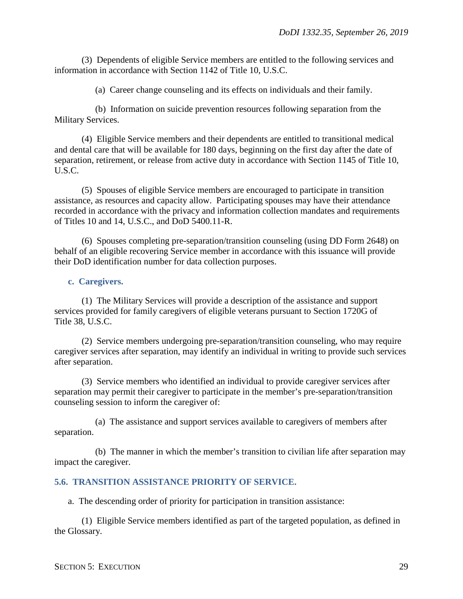(3) Dependents of eligible Service members are entitled to the following services and information in accordance with Section 1142 of Title 10, U.S.C.

(a) Career change counseling and its effects on individuals and their family.

(b) Information on suicide prevention resources following separation from the Military Services.

(4) Eligible Service members and their dependents are entitled to transitional medical and dental care that will be available for 180 days, beginning on the first day after the date of separation, retirement, or release from active duty in accordance with Section 1145 of Title 10, U.S.C.

(5) Spouses of eligible Service members are encouraged to participate in transition assistance, as resources and capacity allow. Participating spouses may have their attendance recorded in accordance with the privacy and information collection mandates and requirements of Titles 10 and 14, U.S.C., and DoD 5400.11-R.

(6) Spouses completing pre-separation/transition counseling (using DD Form 2648) on behalf of an eligible recovering Service member in accordance with this issuance will provide their DoD identification number for data collection purposes.

#### <span id="page-28-0"></span>**c. Caregivers.**

(1) The Military Services will provide a description of the assistance and support services provided for family caregivers of eligible veterans pursuant to Section 1720G of Title 38, U.S.C.

(2) Service members undergoing pre-separation/transition counseling, who may require caregiver services after separation, may identify an individual in writing to provide such services after separation.

(3) Service members who identified an individual to provide caregiver services after separation may permit their caregiver to participate in the member's pre-separation/transition counseling session to inform the caregiver of:

(a) The assistance and support services available to caregivers of members after separation.

(b) The manner in which the member's transition to civilian life after separation may impact the caregiver.

#### <span id="page-28-1"></span>**5.6. TRANSITION ASSISTANCE PRIORITY OF SERVICE.**

a. The descending order of priority for participation in transition assistance:

(1) Eligible Service members identified as part of the targeted population, as defined in the Glossary.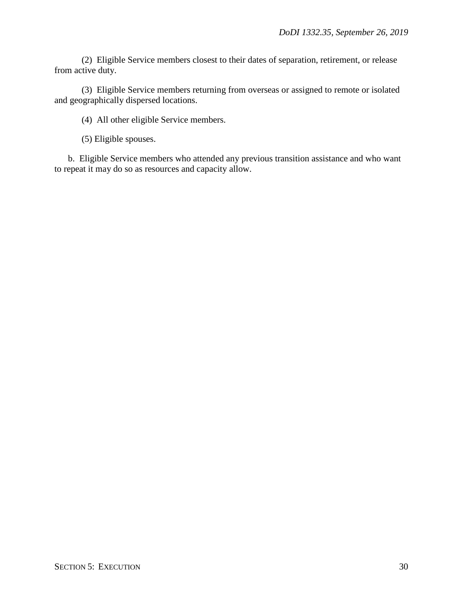(2) Eligible Service members closest to their dates of separation, retirement, or release from active duty.

(3) Eligible Service members returning from overseas or assigned to remote or isolated and geographically dispersed locations.

(4) All other eligible Service members.

(5) Eligible spouses.

b. Eligible Service members who attended any previous transition assistance and who want to repeat it may do so as resources and capacity allow.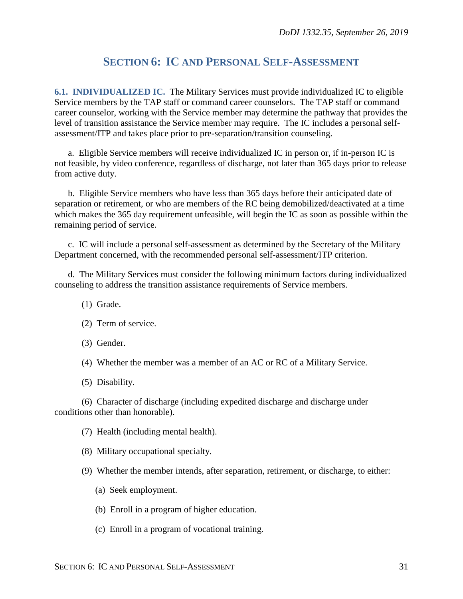## **SECTION 6: IC AND PERSONAL SELF-ASSESSMENT**

<span id="page-30-1"></span><span id="page-30-0"></span>**6.1. INDIVIDUALIZED IC.** The Military Services must provide individualized IC to eligible Service members by the TAP staff or command career counselors. The TAP staff or command career counselor, working with the Service member may determine the pathway that provides the level of transition assistance the Service member may require. The IC includes a personal selfassessment/ITP and takes place prior to pre-separation/transition counseling.

a. Eligible Service members will receive individualized IC in person or, if in-person IC is not feasible, by video conference, regardless of discharge, not later than 365 days prior to release from active duty.

b. Eligible Service members who have less than 365 days before their anticipated date of separation or retirement, or who are members of the RC being demobilized/deactivated at a time which makes the 365 day requirement unfeasible, will begin the IC as soon as possible within the remaining period of service.

c. IC will include a personal self-assessment as determined by the Secretary of the Military Department concerned, with the recommended personal self-assessment/ITP criterion.

d. The Military Services must consider the following minimum factors during individualized counseling to address the transition assistance requirements of Service members.

- (1) Grade.
- (2) Term of service.
- (3) Gender.

(4) Whether the member was a member of an AC or RC of a Military Service.

(5) Disability.

(6) Character of discharge (including expedited discharge and discharge under conditions other than honorable).

(7) Health (including mental health).

(8) Military occupational specialty.

(9) Whether the member intends, after separation, retirement, or discharge, to either:

- (a) Seek employment.
- (b) Enroll in a program of higher education.
- (c) Enroll in a program of vocational training.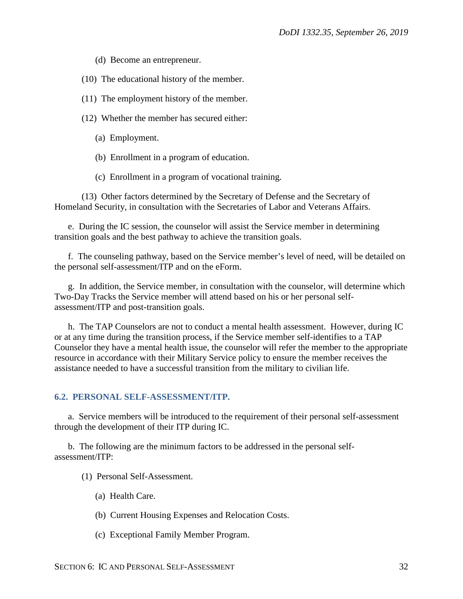- (d) Become an entrepreneur.
- (10) The educational history of the member.
- (11) The employment history of the member.
- (12) Whether the member has secured either:
	- (a) Employment.
	- (b) Enrollment in a program of education.
	- (c) Enrollment in a program of vocational training.

(13) Other factors determined by the Secretary of Defense and the Secretary of Homeland Security, in consultation with the Secretaries of Labor and Veterans Affairs.

e. During the IC session, the counselor will assist the Service member in determining transition goals and the best pathway to achieve the transition goals.

f. The counseling pathway, based on the Service member's level of need, will be detailed on the personal self-assessment/ITP and on the eForm.

g. In addition, the Service member, in consultation with the counselor, will determine which Two-Day Tracks the Service member will attend based on his or her personal selfassessment/ITP and post-transition goals.

h. The TAP Counselors are not to conduct a mental health assessment. However, during IC or at any time during the transition process, if the Service member self-identifies to a TAP Counselor they have a mental health issue, the counselor will refer the member to the appropriate resource in accordance with their Military Service policy to ensure the member receives the assistance needed to have a successful transition from the military to civilian life.

### <span id="page-31-0"></span>**6.2. PERSONAL SELF-ASSESSMENT/ITP.**

a. Service members will be introduced to the requirement of their personal self-assessment through the development of their ITP during IC.

b. The following are the minimum factors to be addressed in the personal selfassessment/ITP:

- (1) Personal Self-Assessment.
	- (a) Health Care.
	- (b) Current Housing Expenses and Relocation Costs.
	- (c) Exceptional Family Member Program.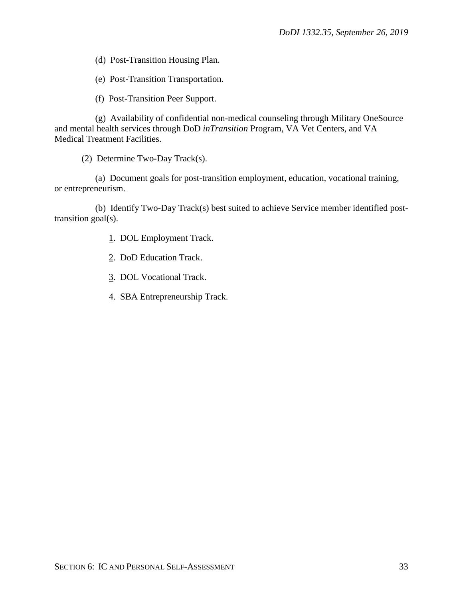(d) Post-Transition Housing Plan.

(e) Post-Transition Transportation.

(f) Post-Transition Peer Support.

(g) Availability of confidential non-medical counseling through Military OneSource and mental health services through DoD *inTransition* Program, VA Vet Centers, and VA Medical Treatment Facilities.

(2) Determine Two-Day Track(s).

(a) Document goals for post-transition employment, education, vocational training, or entrepreneurism.

(b) Identify Two-Day Track(s) best suited to achieve Service member identified posttransition goal(s).

1. DOL Employment Track.

2. DoD Education Track.

3. DOL Vocational Track.

4. SBA Entrepreneurship Track.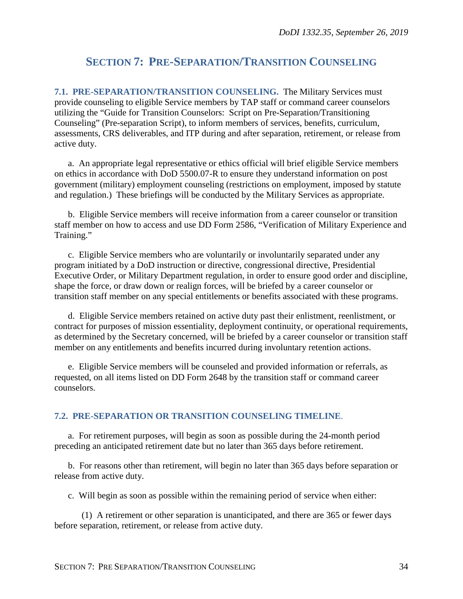# <span id="page-33-0"></span>**SECTION 7: PRE-SEPARATION/TRANSITION COUNSELING**

<span id="page-33-1"></span>**7.1. PRE-SEPARATION/TRANSITION COUNSELING.** The Military Services must provide counseling to eligible Service members by TAP staff or command career counselors utilizing the "Guide for Transition Counselors: Script on Pre-Separation/Transitioning Counseling" (Pre-separation Script), to inform members of services, benefits, curriculum, assessments, CRS deliverables, and ITP during and after separation, retirement, or release from active duty.

a. An appropriate legal representative or ethics official will brief eligible Service members on ethics in accordance with DoD 5500.07-R to ensure they understand information on post government (military) employment counseling (restrictions on employment, imposed by statute and regulation.) These briefings will be conducted by the Military Services as appropriate.

b. Eligible Service members will receive information from a career counselor or transition staff member on how to access and use DD Form 2586, "Verification of Military Experience and Training."

c. Eligible Service members who are voluntarily or involuntarily separated under any program initiated by a DoD instruction or directive, congressional directive, Presidential Executive Order, or Military Department regulation, in order to ensure good order and discipline, shape the force, or draw down or realign forces, will be briefed by a career counselor or transition staff member on any special entitlements or benefits associated with these programs.

d. Eligible Service members retained on active duty past their enlistment, reenlistment, or contract for purposes of mission essentiality, deployment continuity, or operational requirements, as determined by the Secretary concerned, will be briefed by a career counselor or transition staff member on any entitlements and benefits incurred during involuntary retention actions.

e. Eligible Service members will be counseled and provided information or referrals, as requested, on all items listed on DD Form 2648 by the transition staff or command career counselors.

#### <span id="page-33-2"></span>**7.2. PRE-SEPARATION OR TRANSITION COUNSELING TIMELINE**.

a. For retirement purposes, will begin as soon as possible during the 24-month period preceding an anticipated retirement date but no later than 365 days before retirement.

b. For reasons other than retirement, will begin no later than 365 days before separation or release from active duty.

c. Will begin as soon as possible within the remaining period of service when either:

(1) A retirement or other separation is unanticipated, and there are 365 or fewer days before separation, retirement, or release from active duty.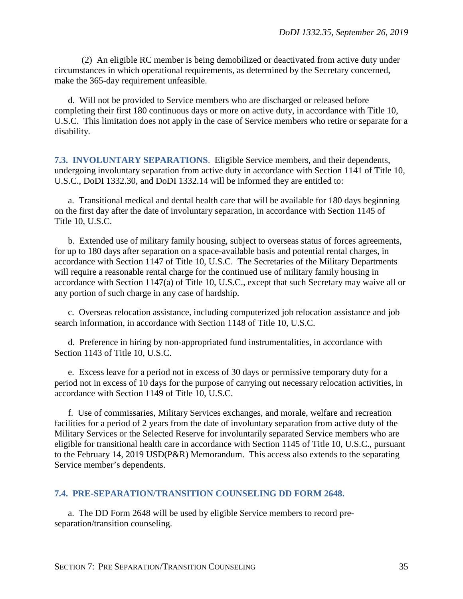(2) An eligible RC member is being demobilized or deactivated from active duty under circumstances in which operational requirements, as determined by the Secretary concerned, make the 365-day requirement unfeasible.

d. Will not be provided to Service members who are discharged or released before completing their first 180 continuous days or more on active duty, in accordance with Title 10, U.S.C. This limitation does not apply in the case of Service members who retire or separate for a disability.

<span id="page-34-0"></span>**7.3. INVOLUNTARY SEPARATIONS**. Eligible Service members, and their dependents, undergoing involuntary separation from active duty in accordance with Section 1141 of Title 10, U.S.C., DoDI 1332.30, and DoDI 1332.14 will be informed they are entitled to:

a. Transitional medical and dental health care that will be available for 180 days beginning on the first day after the date of involuntary separation, in accordance with Section 1145 of Title 10, U.S.C.

b. Extended use of military family housing, subject to overseas status of forces agreements, for up to 180 days after separation on a space-available basis and potential rental charges, in accordance with Section 1147 of Title 10, U.S.C. The Secretaries of the Military Departments will require a reasonable rental charge for the continued use of military family housing in accordance with Section 1147(a) of Title 10, U.S.C., except that such Secretary may waive all or any portion of such charge in any case of hardship.

c. Overseas relocation assistance, including computerized job relocation assistance and job search information, in accordance with Section 1148 of Title 10, U.S.C.

d. Preference in hiring by non-appropriated fund instrumentalities, in accordance with Section 1143 of Title 10, U.S.C.

e. Excess leave for a period not in excess of 30 days or permissive temporary duty for a period not in excess of 10 days for the purpose of carrying out necessary relocation activities, in accordance with Section 1149 of Title 10, U.S.C.

f. Use of commissaries, Military Services exchanges, and morale, welfare and recreation facilities for a period of 2 years from the date of involuntary separation from active duty of the Military Services or the Selected Reserve for involuntarily separated Service members who are eligible for transitional health care in accordance with Section 1145 of Title 10, U.S.C., pursuant to the February 14, 2019 USD(P&R) Memorandum. This access also extends to the separating Service member's dependents.

#### <span id="page-34-1"></span>**7.4. PRE-SEPARATION/TRANSITION COUNSELING DD FORM 2648.**

a. The DD Form 2648 will be used by eligible Service members to record preseparation/transition counseling.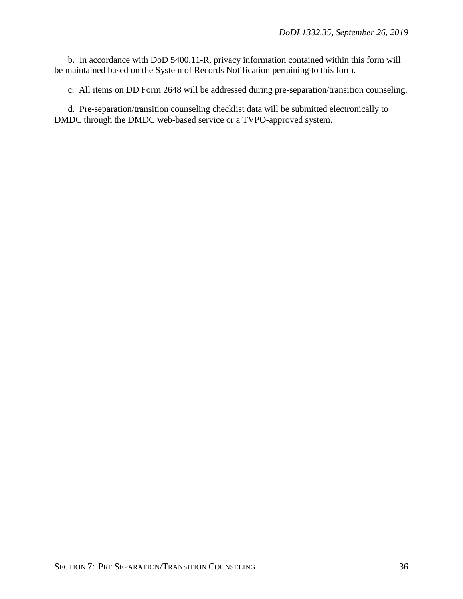b. In accordance with DoD 5400.11-R, privacy information contained within this form will be maintained based on the System of Records Notification pertaining to this form.

c. All items on DD Form 2648 will be addressed during pre-separation/transition counseling.

d. Pre-separation/transition counseling checklist data will be submitted electronically to DMDC through the DMDC web-based service or a TVPO-approved system.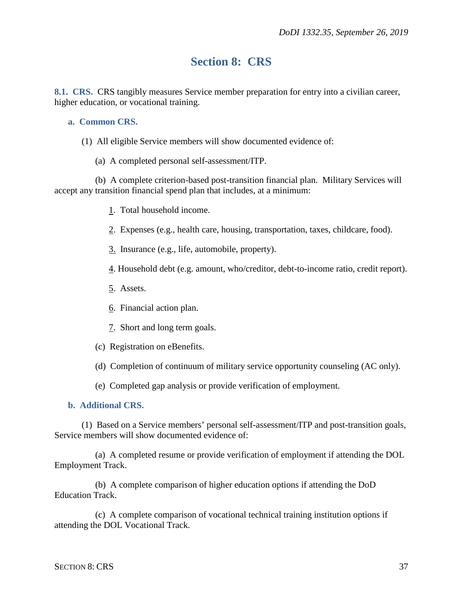# **Section 8: CRS**

<span id="page-36-1"></span><span id="page-36-0"></span>**8.1. CRS.** CRS tangibly measures Service member preparation for entry into a civilian career, higher education, or vocational training.

#### <span id="page-36-2"></span>**a. Common CRS.**

- (1) All eligible Service members will show documented evidence of:
	- (a) A completed personal self-assessment/ITP.

(b) A complete criterion-based post-transition financial plan. Military Services will accept any transition financial spend plan that includes, at a minimum:

- 1. Total household income.
- 2. Expenses (e.g., health care, housing, transportation, taxes, childcare, food).
- 3. Insurance (e.g., life, automobile, property).
- 4. Household debt (e.g. amount, who/creditor, debt-to-income ratio, credit report).
- 5. Assets.
- 6. Financial action plan.
- 7. Short and long term goals.
- (c) Registration on eBenefits.
- (d) Completion of continuum of military service opportunity counseling (AC only).
- (e) Completed gap analysis or provide verification of employment.

#### <span id="page-36-3"></span>**b. Additional CRS.**

(1) Based on a Service members' personal self-assessment/ITP and post-transition goals, Service members will show documented evidence of:

(a) A completed resume or provide verification of employment if attending the DOL Employment Track.

(b) A complete comparison of higher education options if attending the DoD Education Track.

(c) A complete comparison of vocational technical training institution options if attending the DOL Vocational Track.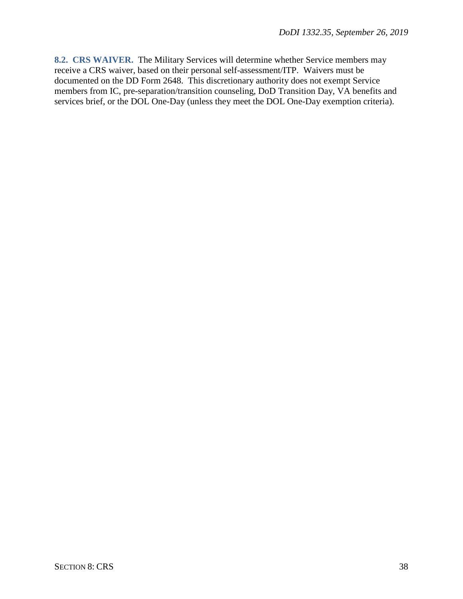<span id="page-37-0"></span>**8.2. CRS WAIVER.** The Military Services will determine whether Service members may receive a CRS waiver, based on their personal self-assessment/ITP. Waivers must be documented on the DD Form 2648. This discretionary authority does not exempt Service members from IC, pre-separation/transition counseling, DoD Transition Day, VA benefits and services brief, or the DOL One-Day (unless they meet the DOL One-Day exemption criteria).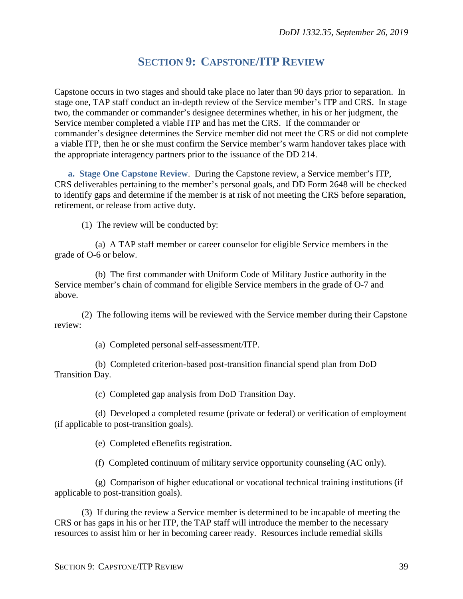# **SECTION 9: CAPSTONE/ITP REVIEW**

<span id="page-38-0"></span>Capstone occurs in two stages and should take place no later than 90 days prior to separation. In stage one, TAP staff conduct an in-depth review of the Service member's ITP and CRS. In stage two, the commander or commander's designee determines whether, in his or her judgment, the Service member completed a viable ITP and has met the CRS. If the commander or commander's designee determines the Service member did not meet the CRS or did not complete a viable ITP, then he or she must confirm the Service member's warm handover takes place with the appropriate interagency partners prior to the issuance of the DD 214.

<span id="page-38-1"></span>**a. Stage One Capstone Review**. During the Capstone review, a Service member's ITP, CRS deliverables pertaining to the member's personal goals, and DD Form 2648 will be checked to identify gaps and determine if the member is at risk of not meeting the CRS before separation, retirement, or release from active duty.

(1) The review will be conducted by:

(a) A TAP staff member or career counselor for eligible Service members in the grade of O-6 or below.

(b) The first commander with Uniform Code of Military Justice authority in the Service member's chain of command for eligible Service members in the grade of O-7 and above.

(2) The following items will be reviewed with the Service member during their Capstone review:

(a) Completed personal self-assessment/ITP.

(b) Completed criterion-based post-transition financial spend plan from DoD Transition Day.

(c) Completed gap analysis from DoD Transition Day.

(d) Developed a completed resume (private or federal) or verification of employment (if applicable to post-transition goals).

(e) Completed eBenefits registration.

(f) Completed continuum of military service opportunity counseling (AC only).

(g) Comparison of higher educational or vocational technical training institutions (if applicable to post-transition goals).

(3) If during the review a Service member is determined to be incapable of meeting the CRS or has gaps in his or her ITP, the TAP staff will introduce the member to the necessary resources to assist him or her in becoming career ready. Resources include remedial skills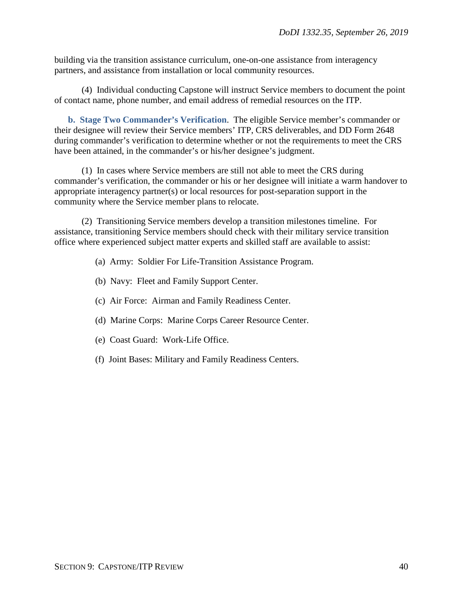building via the transition assistance curriculum, one-on-one assistance from interagency partners, and assistance from installation or local community resources.

(4) Individual conducting Capstone will instruct Service members to document the point of contact name, phone number, and email address of remedial resources on the ITP.

<span id="page-39-0"></span>**b. Stage Two Commander's Verification**. The eligible Service member's commander or their designee will review their Service members' ITP, CRS deliverables, and DD Form 2648 during commander's verification to determine whether or not the requirements to meet the CRS have been attained, in the commander's or his/her designee's judgment.

(1) In cases where Service members are still not able to meet the CRS during commander's verification, the commander or his or her designee will initiate a warm handover to appropriate interagency partner(s) or local resources for post-separation support in the community where the Service member plans to relocate.

(2) Transitioning Service members develop a transition milestones timeline. For assistance, transitioning Service members should check with their military service transition office where experienced subject matter experts and skilled staff are available to assist:

- (a) Army: Soldier For Life-Transition Assistance Program.
- (b) Navy: Fleet and Family Support Center.
- (c) Air Force: Airman and Family Readiness Center.
- (d) Marine Corps: Marine Corps Career Resource Center.
- (e) Coast Guard: Work-Life Office.
- (f) Joint Bases: Military and Family Readiness Centers.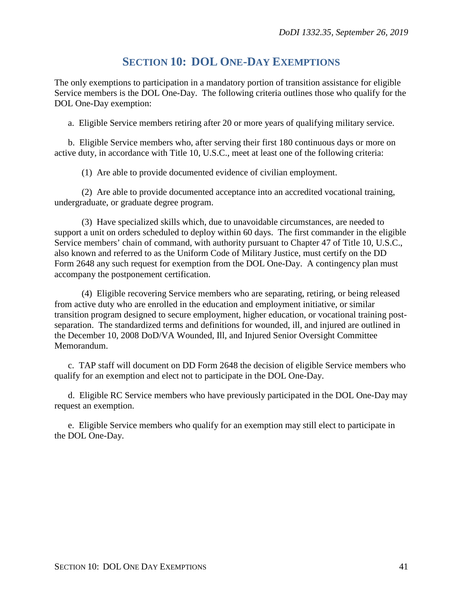## **SECTION 10: DOL ONE-DAY EXEMPTIONS**

<span id="page-40-0"></span>The only exemptions to participation in a mandatory portion of transition assistance for eligible Service members is the DOL One-Day. The following criteria outlines those who qualify for the DOL One-Day exemption:

a. Eligible Service members retiring after 20 or more years of qualifying military service.

b. Eligible Service members who, after serving their first 180 continuous days or more on active duty, in accordance with Title 10, U.S.C., meet at least one of the following criteria:

(1) Are able to provide documented evidence of civilian employment.

(2) Are able to provide documented acceptance into an accredited vocational training, undergraduate, or graduate degree program.

(3) Have specialized skills which, due to unavoidable circumstances, are needed to support a unit on orders scheduled to deploy within 60 days. The first commander in the eligible Service members' chain of command, with authority pursuant to Chapter 47 of Title 10, U.S.C., also known and referred to as the Uniform Code of Military Justice, must certify on the DD Form 2648 any such request for exemption from the DOL One-Day. A contingency plan must accompany the postponement certification.

(4) Eligible recovering Service members who are separating, retiring, or being released from active duty who are enrolled in the education and employment initiative, or similar transition program designed to secure employment, higher education, or vocational training postseparation. The standardized terms and definitions for wounded, ill, and injured are outlined in the December 10, 2008 DoD/VA Wounded, Ill, and Injured Senior Oversight Committee Memorandum.

c. TAP staff will document on DD Form 2648 the decision of eligible Service members who qualify for an exemption and elect not to participate in the DOL One-Day.

d. Eligible RC Service members who have previously participated in the DOL One-Day may request an exemption.

e. Eligible Service members who qualify for an exemption may still elect to participate in the DOL One-Day.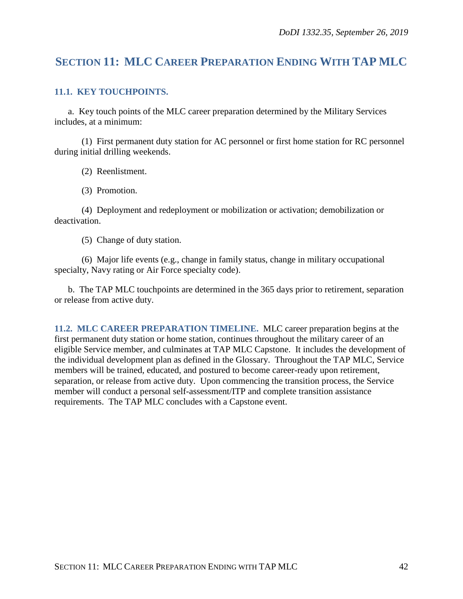# <span id="page-41-0"></span>**SECTION 11: MLC CAREER PREPARATION ENDING WITH TAP MLC**

#### <span id="page-41-1"></span>**11.1. KEY TOUCHPOINTS.**

a. Key touch points of the MLC career preparation determined by the Military Services includes, at a minimum:

(1) First permanent duty station for AC personnel or first home station for RC personnel during initial drilling weekends.

(2) Reenlistment.

(3) Promotion.

(4) Deployment and redeployment or mobilization or activation; demobilization or deactivation.

(5) Change of duty station.

(6) Major life events (e.g., change in family status, change in military occupational specialty, Navy rating or Air Force specialty code).

b. The TAP MLC touchpoints are determined in the 365 days prior to retirement, separation or release from active duty.

<span id="page-41-2"></span>**11.2. MLC CAREER PREPARATION TIMELINE.** MLC career preparation begins at the first permanent duty station or home station, continues throughout the military career of an eligible Service member, and culminates at TAP MLC Capstone. It includes the development of the individual development plan as defined in the Glossary. Throughout the TAP MLC, Service members will be trained, educated, and postured to become career-ready upon retirement, separation, or release from active duty. Upon commencing the transition process, the Service member will conduct a personal self-assessment/ITP and complete transition assistance requirements. The TAP MLC concludes with a Capstone event.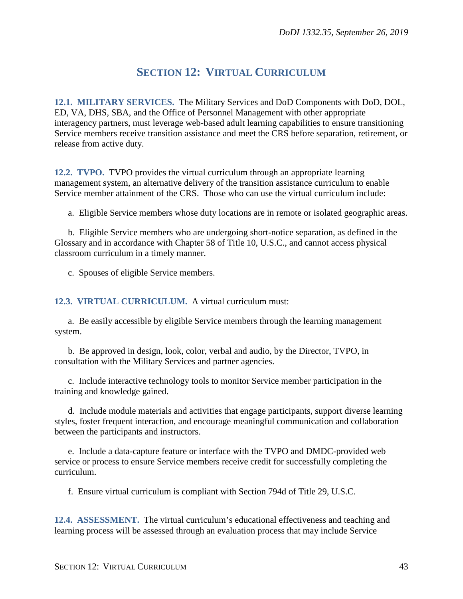# **SECTION 12: VIRTUAL CURRICULUM**

<span id="page-42-1"></span><span id="page-42-0"></span>**12.1. MILITARY SERVICES.** The Military Services and DoD Components with DoD, DOL, ED, VA, DHS, SBA, and the Office of Personnel Management with other appropriate interagency partners, must leverage web-based adult learning capabilities to ensure transitioning Service members receive transition assistance and meet the CRS before separation, retirement, or release from active duty.

<span id="page-42-2"></span>**12.2. TVPO.** TVPO provides the virtual curriculum through an appropriate learning management system, an alternative delivery of the transition assistance curriculum to enable Service member attainment of the CRS. Those who can use the virtual curriculum include:

a. Eligible Service members whose duty locations are in remote or isolated geographic areas.

b. Eligible Service members who are undergoing short-notice separation, as defined in the Glossary and in accordance with Chapter 58 of Title 10, U.S.C., and cannot access physical classroom curriculum in a timely manner.

c. Spouses of eligible Service members.

<span id="page-42-3"></span>**12.3. VIRTUAL CURRICULUM.** A virtual curriculum must:

a. Be easily accessible by eligible Service members through the learning management system.

b. Be approved in design, look, color, verbal and audio, by the Director, TVPO, in consultation with the Military Services and partner agencies.

c. Include interactive technology tools to monitor Service member participation in the training and knowledge gained.

d. Include module materials and activities that engage participants, support diverse learning styles, foster frequent interaction, and encourage meaningful communication and collaboration between the participants and instructors.

e. Include a data-capture feature or interface with the TVPO and DMDC-provided web service or process to ensure Service members receive credit for successfully completing the curriculum.

f. Ensure virtual curriculum is compliant with Section 794d of Title 29, U.S.C.

<span id="page-42-4"></span>**12.4. ASSESSMENT.** The virtual curriculum's educational effectiveness and teaching and learning process will be assessed through an evaluation process that may include Service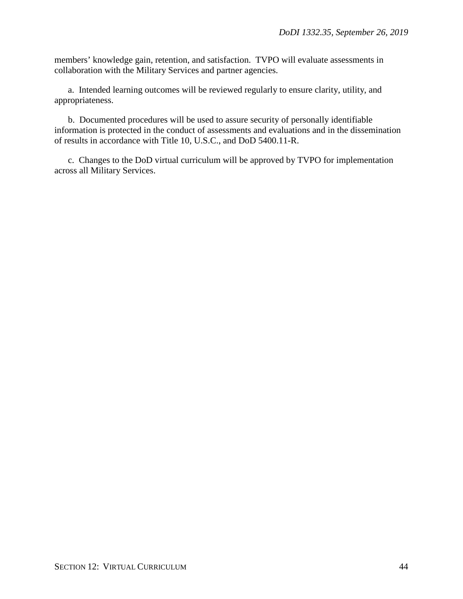members' knowledge gain, retention, and satisfaction. TVPO will evaluate assessments in collaboration with the Military Services and partner agencies.

a. Intended learning outcomes will be reviewed regularly to ensure clarity, utility, and appropriateness.

b. Documented procedures will be used to assure security of personally identifiable information is protected in the conduct of assessments and evaluations and in the dissemination of results in accordance with Title 10, U.S.C., and DoD 5400.11-R.

c. Changes to the DoD virtual curriculum will be approved by TVPO for implementation across all Military Services.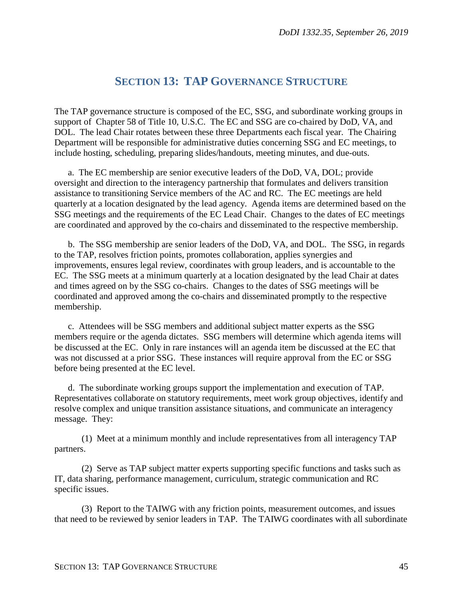## **SECTION 13: TAP GOVERNANCE STRUCTURE**

<span id="page-44-0"></span>The TAP governance structure is composed of the EC, SSG, and subordinate working groups in support of Chapter 58 of Title 10, U.S.C. The EC and SSG are co-chaired by DoD, VA, and DOL. The lead Chair rotates between these three Departments each fiscal year. The Chairing Department will be responsible for administrative duties concerning SSG and EC meetings, to include hosting, scheduling, preparing slides/handouts, meeting minutes, and due-outs.

a. The EC membership are senior executive leaders of the DoD, VA, DOL; provide oversight and direction to the interagency partnership that formulates and delivers transition assistance to transitioning Service members of the AC and RC. The EC meetings are held quarterly at a location designated by the lead agency. Agenda items are determined based on the SSG meetings and the requirements of the EC Lead Chair. Changes to the dates of EC meetings are coordinated and approved by the co-chairs and disseminated to the respective membership.

b. The SSG membership are senior leaders of the DoD, VA, and DOL. The SSG, in regards to the TAP, resolves friction points, promotes collaboration, applies synergies and improvements, ensures legal review, coordinates with group leaders, and is accountable to the EC. The SSG meets at a minimum quarterly at a location designated by the lead Chair at dates and times agreed on by the SSG co-chairs. Changes to the dates of SSG meetings will be coordinated and approved among the co-chairs and disseminated promptly to the respective membership.

c. Attendees will be SSG members and additional subject matter experts as the SSG members require or the agenda dictates. SSG members will determine which agenda items will be discussed at the EC. Only in rare instances will an agenda item be discussed at the EC that was not discussed at a prior SSG. These instances will require approval from the EC or SSG before being presented at the EC level.

d. The subordinate working groups support the implementation and execution of TAP. Representatives collaborate on statutory requirements, meet work group objectives, identify and resolve complex and unique transition assistance situations, and communicate an interagency message. They:

(1) Meet at a minimum monthly and include representatives from all interagency TAP partners.

(2) Serve as TAP subject matter experts supporting specific functions and tasks such as IT, data sharing, performance management, curriculum, strategic communication and RC specific issues.

(3) Report to the TAIWG with any friction points, measurement outcomes, and issues that need to be reviewed by senior leaders in TAP. The TAIWG coordinates with all subordinate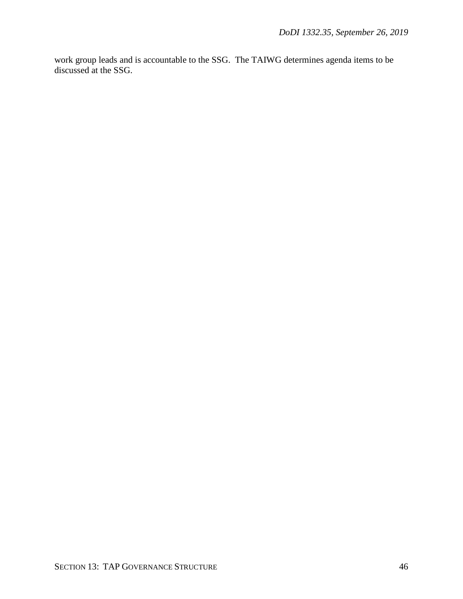work group leads and is accountable to the SSG. The TAIWG determines agenda items to be discussed at the SSG.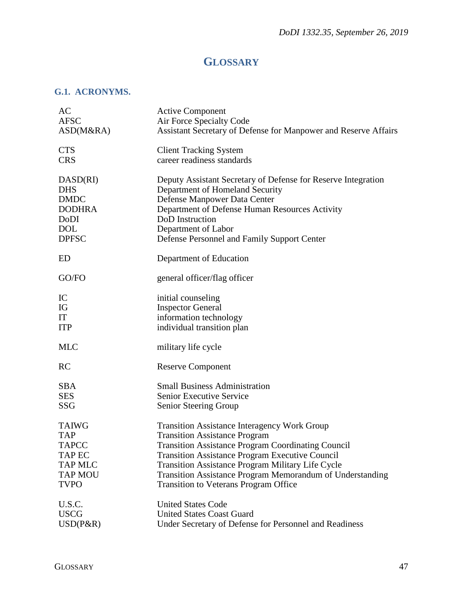# **GLOSSARY**

### <span id="page-46-1"></span><span id="page-46-0"></span>**G.1. ACRONYMS.**

| AC             | <b>Active Component</b>                                          |
|----------------|------------------------------------------------------------------|
| <b>AFSC</b>    | Air Force Specialty Code                                         |
| ASD(M&RA)      | Assistant Secretary of Defense for Manpower and Reserve Affairs  |
| <b>CTS</b>     | <b>Client Tracking System</b>                                    |
| <b>CRS</b>     | career readiness standards                                       |
| DASD(RI)       | Deputy Assistant Secretary of Defense for Reserve Integration    |
| <b>DHS</b>     | Department of Homeland Security                                  |
| <b>DMDC</b>    | Defense Manpower Data Center                                     |
| <b>DODHRA</b>  | Department of Defense Human Resources Activity                   |
| DoDI           | DoD Instruction                                                  |
| <b>DOL</b>     | Department of Labor                                              |
| <b>DPFSC</b>   | Defense Personnel and Family Support Center                      |
| ED             | Department of Education                                          |
| GO/FO          | general officer/flag officer                                     |
| IC             | initial counseling                                               |
| IG             | <b>Inspector General</b>                                         |
| IT             | information technology                                           |
| <b>ITP</b>     | individual transition plan                                       |
| <b>MLC</b>     | military life cycle                                              |
| <b>RC</b>      | <b>Reserve Component</b>                                         |
| <b>SBA</b>     | <b>Small Business Administration</b>                             |
| <b>SES</b>     | Senior Executive Service                                         |
| <b>SSG</b>     | Senior Steering Group                                            |
| <b>TAIWG</b>   | Transition Assistance Interagency Work Group                     |
| <b>TAP</b>     | <b>Transition Assistance Program</b>                             |
| <b>TAPCC</b>   | <b>Transition Assistance Program Coordinating Council</b>        |
| <b>TAP EC</b>  | <b>Transition Assistance Program Executive Council</b>           |
| <b>TAP MLC</b> | <b>Transition Assistance Program Military Life Cycle</b>         |
| <b>TAP MOU</b> | <b>Transition Assistance Program Memorandum of Understanding</b> |
| <b>TVPO</b>    | <b>Transition to Veterans Program Office</b>                     |
| U.S.C.         | <b>United States Code</b>                                        |
| <b>USCG</b>    | <b>United States Coast Guard</b>                                 |
| $USD(P\&R)$    | Under Secretary of Defense for Personnel and Readiness           |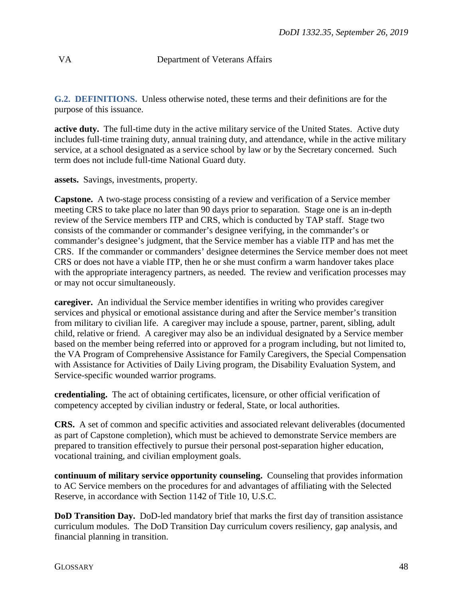### VA Department of Veterans Affairs

<span id="page-47-0"></span>**G.2. DEFINITIONS.** Unless otherwise noted, these terms and their definitions are for the purpose of this issuance.

**active duty.** The full-time duty in the active military service of the United States. Active duty includes full-time training duty, annual training duty, and attendance, while in the active military service, at a school designated as a service school by law or by the Secretary concerned. Such term does not include full-time National Guard duty.

**assets.** Savings, investments, property.

**Capstone.** A two-stage process consisting of a review and verification of a Service member meeting CRS to take place no later than 90 days prior to separation. Stage one is an in-depth review of the Service members ITP and CRS, which is conducted by TAP staff. Stage two consists of the commander or commander's designee verifying, in the commander's or commander's designee's judgment, that the Service member has a viable ITP and has met the CRS. If the commander or commanders' designee determines the Service member does not meet CRS or does not have a viable ITP, then he or she must confirm a warm handover takes place with the appropriate interagency partners, as needed. The review and verification processes may or may not occur simultaneously.

**caregiver.** An individual the Service member identifies in writing who provides caregiver services and physical or emotional assistance during and after the Service member's transition from military to civilian life. A caregiver may include a spouse, partner, parent, sibling, adult child, relative or friend. A caregiver may also be an individual designated by a Service member based on the member being referred into or approved for a program including, but not limited to, the VA Program of Comprehensive Assistance for Family Caregivers, the Special Compensation with Assistance for Activities of Daily Living program, the Disability Evaluation System, and Service-specific wounded warrior programs.

**credentialing.** The act of obtaining certificates, licensure, or other official verification of competency accepted by civilian industry or federal, State, or local authorities.

**CRS.** A set of common and specific activities and associated relevant deliverables (documented as part of Capstone completion), which must be achieved to demonstrate Service members are prepared to transition effectively to pursue their personal post-separation higher education, vocational training, and civilian employment goals.

**continuum of military service opportunity counseling.** Counseling that provides information to AC Service members on the procedures for and advantages of affiliating with the Selected Reserve, in accordance with Section 1142 of Title 10, U.S.C.

**DoD Transition Day.** DoD-led mandatory brief that marks the first day of transition assistance curriculum modules. The DoD Transition Day curriculum covers resiliency, gap analysis, and financial planning in transition.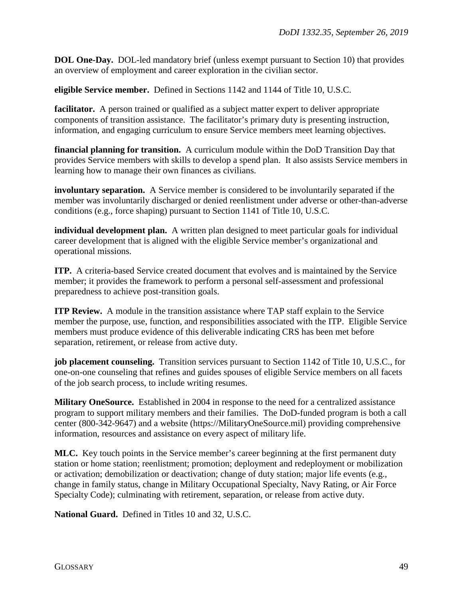**DOL One-Day.** DOL-led mandatory brief (unless exempt pursuant to Section 10) that provides an overview of employment and career exploration in the civilian sector.

**eligible Service member.** Defined in Sections 1142 and 1144 of Title 10, U.S.C.

**facilitator.** A person trained or qualified as a subject matter expert to deliver appropriate components of transition assistance. The facilitator's primary duty is presenting instruction, information, and engaging curriculum to ensure Service members meet learning objectives.

**financial planning for transition.** A curriculum module within the DoD Transition Day that provides Service members with skills to develop a spend plan. It also assists Service members in learning how to manage their own finances as civilians.

**involuntary separation.** A Service member is considered to be involuntarily separated if the member was involuntarily discharged or denied reenlistment under adverse or other-than-adverse conditions (e.g., force shaping) pursuant to Section 1141 of Title 10, U.S.C.

**individual development plan.** A written plan designed to meet particular goals for individual career development that is aligned with the eligible Service member's organizational and operational missions.

**ITP.** A criteria-based Service created document that evolves and is maintained by the Service member; it provides the framework to perform a personal self-assessment and professional preparedness to achieve post-transition goals.

**ITP Review.** A module in the transition assistance where TAP staff explain to the Service member the purpose, use, function, and responsibilities associated with the ITP. Eligible Service members must produce evidence of this deliverable indicating CRS has been met before separation, retirement, or release from active duty.

**job placement counseling.** Transition services pursuant to Section 1142 of Title 10, U.S.C., for one-on-one counseling that refines and guides spouses of eligible Service members on all facets of the job search process, to include writing resumes.

**Military OneSource.** Established in 2004 in response to the need for a centralized assistance program to support military members and their families. The DoD-funded program is both a call center (800-342-9647) and a website (https://MilitaryOneSource.mil) providing comprehensive information, resources and assistance on every aspect of military life.

**MLC.** Key touch points in the Service member's career beginning at the first permanent duty station or home station; reenlistment; promotion; deployment and redeployment or mobilization or activation; demobilization or deactivation; change of duty station; major life events (e.g., change in family status, change in Military Occupational Specialty, Navy Rating, or Air Force Specialty Code); culminating with retirement, separation, or release from active duty.

**National Guard.** Defined in Titles 10 and 32, U.S.C.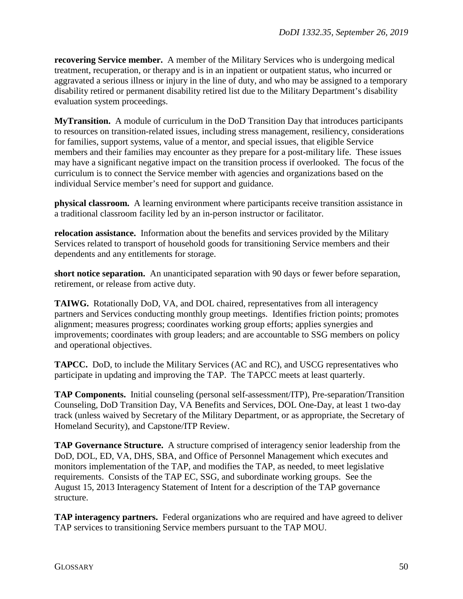**recovering Service member.** A member of the Military Services who is undergoing medical treatment, recuperation, or therapy and is in an inpatient or outpatient status, who incurred or aggravated a serious illness or injury in the line of duty, and who may be assigned to a temporary disability retired or permanent disability retired list due to the Military Department's disability evaluation system proceedings.

**MyTransition.** A module of curriculum in the DoD Transition Day that introduces participants to resources on transition-related issues, including stress management, resiliency, considerations for families, support systems, value of a mentor, and special issues, that eligible Service members and their families may encounter as they prepare for a post-military life. These issues may have a significant negative impact on the transition process if overlooked. The focus of the curriculum is to connect the Service member with agencies and organizations based on the individual Service member's need for support and guidance.

**physical classroom.** A learning environment where participants receive transition assistance in a traditional classroom facility led by an in-person instructor or facilitator.

**relocation assistance.** Information about the benefits and services provided by the Military Services related to transport of household goods for transitioning Service members and their dependents and any entitlements for storage.

**short notice separation.** An unanticipated separation with 90 days or fewer before separation, retirement, or release from active duty.

**TAIWG.** Rotationally DoD, VA, and DOL chaired, representatives from all interagency partners and Services conducting monthly group meetings. Identifies friction points; promotes alignment; measures progress; coordinates working group efforts; applies synergies and improvements; coordinates with group leaders; and are accountable to SSG members on policy and operational objectives.

**TAPCC.** DoD, to include the Military Services (AC and RC), and USCG representatives who participate in updating and improving the TAP. The TAPCC meets at least quarterly.

**TAP Components.** Initial counseling (personal self-assessment/ITP), Pre-separation/Transition Counseling, DoD Transition Day, VA Benefits and Services, DOL One-Day, at least 1 two-day track (unless waived by Secretary of the Military Department, or as appropriate, the Secretary of Homeland Security), and Capstone/ITP Review.

**TAP Governance Structure.** A structure comprised of interagency senior leadership from the DoD, DOL, ED, VA, DHS, SBA, and Office of Personnel Management which executes and monitors implementation of the TAP, and modifies the TAP, as needed, to meet legislative requirements. Consists of the TAP EC, SSG, and subordinate working groups. See the August 15, 2013 Interagency Statement of Intent for a description of the TAP governance structure.

**TAP interagency partners.** Federal organizations who are required and have agreed to deliver TAP services to transitioning Service members pursuant to the TAP MOU.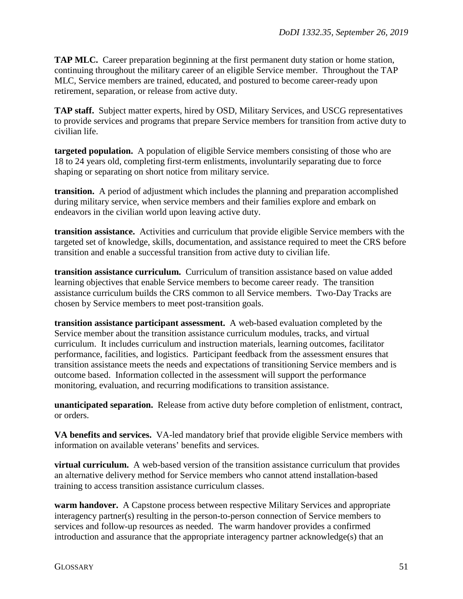**TAP MLC.** Career preparation beginning at the first permanent duty station or home station, continuing throughout the military career of an eligible Service member. Throughout the TAP MLC, Service members are trained, educated, and postured to become career-ready upon retirement, separation, or release from active duty.

**TAP staff.** Subject matter experts, hired by OSD, Military Services, and USCG representatives to provide services and programs that prepare Service members for transition from active duty to civilian life.

**targeted population.** A population of eligible Service members consisting of those who are 18 to 24 years old, completing first-term enlistments, involuntarily separating due to force shaping or separating on short notice from military service.

**transition.** A period of adjustment which includes the planning and preparation accomplished during military service, when service members and their families explore and embark on endeavors in the civilian world upon leaving active duty.

**transition assistance.** Activities and curriculum that provide eligible Service members with the targeted set of knowledge, skills, documentation, and assistance required to meet the CRS before transition and enable a successful transition from active duty to civilian life.

**transition assistance curriculum.** Curriculum of transition assistance based on value added learning objectives that enable Service members to become career ready. The transition assistance curriculum builds the CRS common to all Service members. Two-Day Tracks are chosen by Service members to meet post-transition goals.

**transition assistance participant assessment.** A web-based evaluation completed by the Service member about the transition assistance curriculum modules, tracks, and virtual curriculum. It includes curriculum and instruction materials, learning outcomes, facilitator performance, facilities, and logistics. Participant feedback from the assessment ensures that transition assistance meets the needs and expectations of transitioning Service members and is outcome based. Information collected in the assessment will support the performance monitoring, evaluation, and recurring modifications to transition assistance.

**unanticipated separation.** Release from active duty before completion of enlistment, contract, or orders.

**VA benefits and services.** VA-led mandatory brief that provide eligible Service members with information on available veterans' benefits and services.

**virtual curriculum.** A web-based version of the transition assistance curriculum that provides an alternative delivery method for Service members who cannot attend installation-based training to access transition assistance curriculum classes.

**warm handover.** A Capstone process between respective Military Services and appropriate interagency partner(s) resulting in the person-to-person connection of Service members to services and follow-up resources as needed. The warm handover provides a confirmed introduction and assurance that the appropriate interagency partner acknowledge(s) that an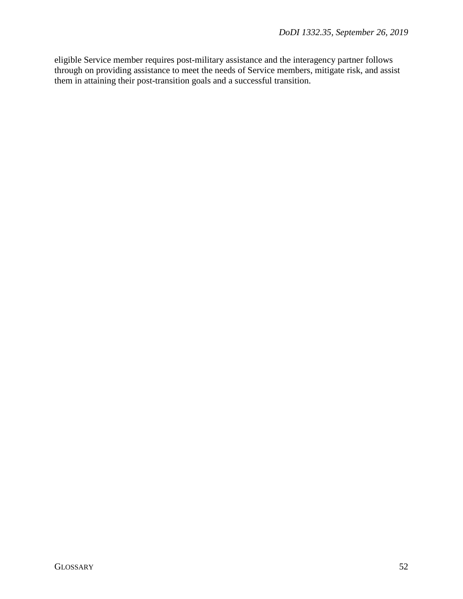eligible Service member requires post-military assistance and the interagency partner follows through on providing assistance to meet the needs of Service members, mitigate risk, and assist them in attaining their post-transition goals and a successful transition.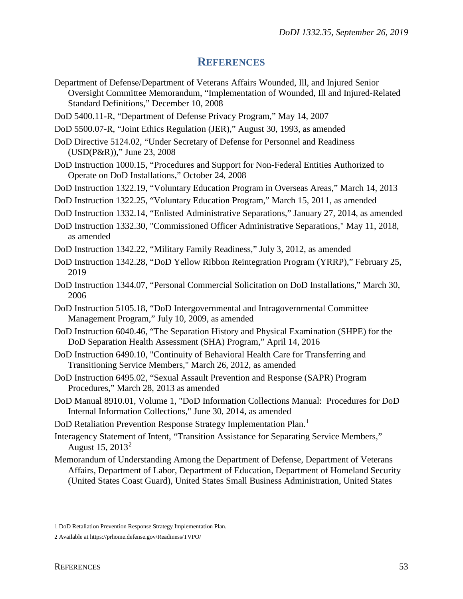### **REFERENCES**

- <span id="page-52-0"></span>Department of Defense/Department of Veterans Affairs Wounded, Ill, and Injured Senior Oversight Committee Memorandum, "Implementation of Wounded, Ill and Injured-Related Standard Definitions," December 10, 2008
- DoD 5400.11-R, "Department of Defense Privacy Program," May 14, 2007
- DoD 5500.07-R, "Joint Ethics Regulation (JER)," August 30, 1993, as amended
- DoD Directive 5124.02, "Under Secretary of Defense for Personnel and Readiness (USD(P&R))," June 23, 2008
- DoD Instruction 1000.15, "Procedures and Support for Non-Federal Entities Authorized to Operate on DoD Installations," October 24, 2008
- DoD Instruction 1322.19, "Voluntary Education Program in Overseas Areas," March 14, 2013
- DoD Instruction 1322.25, "Voluntary Education Program," March 15, 2011, as amended
- DoD Instruction 1332.14, "Enlisted Administrative Separations," January 27, 2014, as amended
- DoD Instruction 1332.30, "Commissioned Officer Administrative Separations," May 11, 2018, as amended
- DoD Instruction 1342.22, "Military Family Readiness," July 3, 2012, as amended
- DoD Instruction 1342.28, "DoD Yellow Ribbon Reintegration Program (YRRP)," February 25, 2019
- DoD Instruction 1344.07, "Personal Commercial Solicitation on DoD Installations," March 30, 2006
- DoD Instruction 5105.18, "DoD Intergovernmental and Intragovernmental Committee Management Program," July 10, 2009, as amended
- DoD Instruction 6040.46, "The Separation History and Physical Examination (SHPE) for the DoD Separation Health Assessment (SHA) Program," April 14, 2016
- DoD Instruction 6490.10, "Continuity of Behavioral Health Care for Transferring and Transitioning Service Members," March 26, 2012, as amended
- DoD Instruction 6495.02, "Sexual Assault Prevention and Response (SAPR) Program Procedures," March 28, 2013 as amended
- DoD Manual 8910.01, Volume 1, "DoD Information Collections Manual: Procedures for DoD Internal Information Collections," June 30, 2014, as amended
- DoD Retaliation Prevention Response Strategy Implementation Plan.<sup>[1](#page-52-1)</sup>
- Interagency Statement of Intent, "Transition Assistance for Separating Service Members," August 15,  $2013^2$  $2013^2$
- Memorandum of Understanding Among the Department of Defense, Department of Veterans Affairs, Department of Labor, Department of Education, Department of Homeland Security (United States Coast Guard), United States Small Business Administration, United States

 $\overline{a}$ 

<span id="page-52-1"></span><sup>1</sup> DoD Retaliation Prevention Response Strategy Implementation Plan.

<span id="page-52-2"></span><sup>2</sup> Available at https://prhome.defense.gov/Readiness/TVPO/